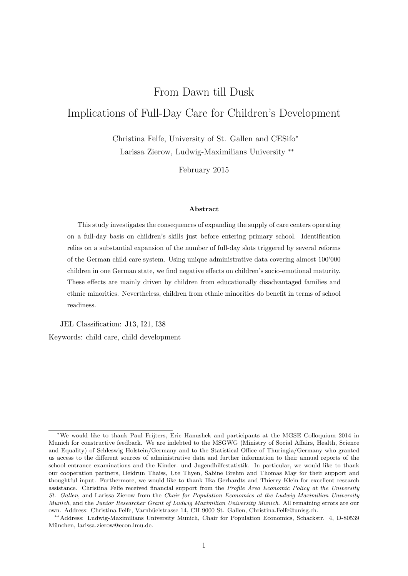# From Dawn till Dusk Implications of Full-Day Care for Children's Development

Christina Felfe, University of St. Gallen and CESifo<sup>∗</sup> Larissa Zierow, Ludwig-Maximilians University ∗∗

February 2015

#### Abstract

This study investigates the consequences of expanding the supply of care centers operating on a full-day basis on children's skills just before entering primary school. Identification relies on a substantial expansion of the number of full-day slots triggered by several reforms of the German child care system. Using unique administrative data covering almost 100'000 children in one German state, we find negative effects on children's socio-emotional maturity. These effects are mainly driven by children from educationally disadvantaged families and ethnic minorities. Nevertheless, children from ethnic minorities do benefit in terms of school readiness.

JEL Classification: J13, I21, I38 Keywords: child care, child development

<sup>∗</sup>We would like to thank Paul Frijters, Eric Hanushek and participants at the MGSE Colloquium 2014 in Munich for constructive feedback. We are indebted to the MSGWG (Ministry of Social Affairs, Health, Science and Equality) of Schleswig Holstein/Germany and to the Statistical Office of Thuringia/Germany who granted us access to the different sources of administrative data and further information to their annual reports of the school entrance examinations and the Kinder- und Jugendhilfestatistik. In particular, we would like to thank our cooperation partners, Heidrun Thaiss, Ute Thyen, Sabine Brehm and Thomas May for their support and thoughtful input. Furthermore, we would like to thank Ilka Gerhardts and Thierry Klein for excellent research assistance. Christina Felfe received financial support from the Profile Area Economic Policy at the University St. Gallen, and Larissa Zierow from the Chair for Population Economics at the Ludwig Maximilian University Munich, and the Junior Researcher Grant of Ludwig Maximilian University Munich. All remaining errors are our own. Address: Christina Felfe, Varnbüelstrasse 14, CH-9000 St. Gallen, Christina.Felfe@unisg.ch.

<sup>∗∗</sup>Address: Ludwig-Maximilians University Munich, Chair for Population Economics, Schackstr. 4, D-80539 München, larissa.zierow@econ.lmu.de.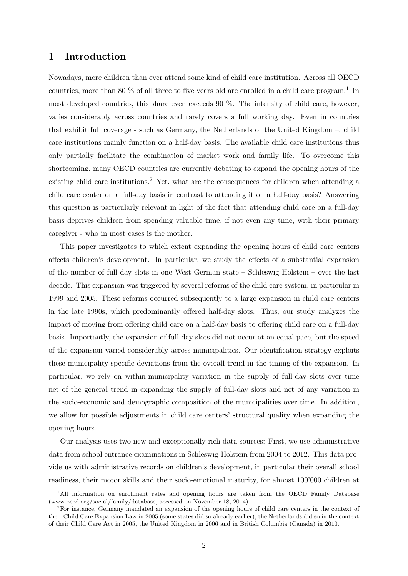### 1 Introduction

Nowadays, more children than ever attend some kind of child care institution. Across all OECD countries, more than 80  $\%$  of all three to five years old are enrolled in a child care program.<sup>1</sup> In most developed countries, this share even exceeds 90 %. The intensity of child care, however, varies considerably across countries and rarely covers a full working day. Even in countries that exhibit full coverage - such as Germany, the Netherlands or the United Kingdom –, child care institutions mainly function on a half-day basis. The available child care institutions thus only partially facilitate the combination of market work and family life. To overcome this shortcoming, many OECD countries are currently debating to expand the opening hours of the existing child care institutions.<sup>2</sup> Yet, what are the consequences for children when attending a child care center on a full-day basis in contrast to attending it on a half-day basis? Answering this question is particularly relevant in light of the fact that attending child care on a full-day basis deprives children from spending valuable time, if not even any time, with their primary caregiver - who in most cases is the mother.

This paper investigates to which extent expanding the opening hours of child care centers affects children's development. In particular, we study the effects of a substantial expansion of the number of full-day slots in one West German state – Schleswig Holstein – over the last decade. This expansion was triggered by several reforms of the child care system, in particular in 1999 and 2005. These reforms occurred subsequently to a large expansion in child care centers in the late 1990s, which predominantly offered half-day slots. Thus, our study analyzes the impact of moving from offering child care on a half-day basis to offering child care on a full-day basis. Importantly, the expansion of full-day slots did not occur at an equal pace, but the speed of the expansion varied considerably across municipalities. Our identification strategy exploits these municipality-specific deviations from the overall trend in the timing of the expansion. In particular, we rely on within-municipality variation in the supply of full-day slots over time net of the general trend in expanding the supply of full-day slots and net of any variation in the socio-economic and demographic composition of the municipalities over time. In addition, we allow for possible adjustments in child care centers' structural quality when expanding the opening hours.

Our analysis uses two new and exceptionally rich data sources: First, we use administrative data from school entrance examinations in Schleswig-Holstein from 2004 to 2012. This data provide us with administrative records on children's development, in particular their overall school readiness, their motor skills and their socio-emotional maturity, for almost 100'000 children at

<sup>&</sup>lt;sup>1</sup>All information on enrollment rates and opening hours are taken from the OECD Family Database (www.oecd.org/social/family/database, accessed on November 18, 2014).

<sup>2</sup>For instance, Germany mandated an expansion of the opening hours of child care centers in the context of their Child Care Expansion Law in 2005 (some states did so already earlier), the Netherlands did so in the context of their Child Care Act in 2005, the United Kingdom in 2006 and in British Columbia (Canada) in 2010.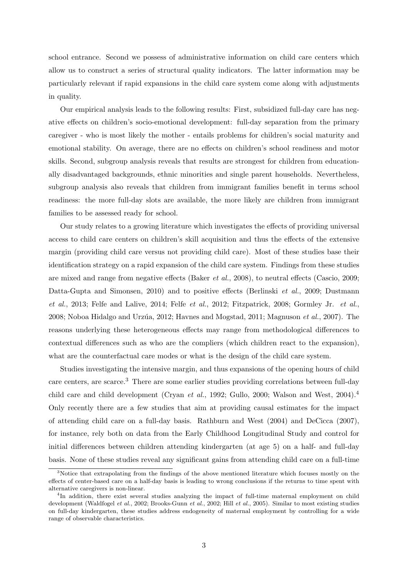school entrance. Second we possess of administrative information on child care centers which allow us to construct a series of structural quality indicators. The latter information may be particularly relevant if rapid expansions in the child care system come along with adjustments in quality.

Our empirical analysis leads to the following results: First, subsidized full-day care has negative effects on children's socio-emotional development: full-day separation from the primary caregiver - who is most likely the mother - entails problems for children's social maturity and emotional stability. On average, there are no effects on children's school readiness and motor skills. Second, subgroup analysis reveals that results are strongest for children from educationally disadvantaged backgrounds, ethnic minorities and single parent households. Nevertheless, subgroup analysis also reveals that children from immigrant families benefit in terms school readiness: the more full-day slots are available, the more likely are children from immigrant families to be assessed ready for school.

Our study relates to a growing literature which investigates the effects of providing universal access to child care centers on children's skill acquisition and thus the effects of the extensive margin (providing child care versus not providing child care). Most of these studies base their identification strategy on a rapid expansion of the child care system. Findings from these studies are mixed and range from negative effects (Baker et al., 2008), to neutral effects (Cascio, 2009; Datta-Gupta and Simonsen, 2010) and to positive effects (Berlinski et al., 2009; Dustmann  $et \ al.,\ 2013; \text{ Felfe and Lalive},\ 2014; \text{ Felfe et al.,}\ 2012; \text{ Fitzpatrick},\ 2008; \text{ Gormley Jr.} \ et \ al.,\$ 2008; Noboa Hidalgo and Urzúa, 2012; Havnes and Mogstad, 2011; Magnuson  $et al., 2007$ ). The reasons underlying these heterogeneous effects may range from methodological differences to contextual differences such as who are the compliers (which children react to the expansion), what are the counterfactual care modes or what is the design of the child care system.

Studies investigating the intensive margin, and thus expansions of the opening hours of child care centers, are scarce.<sup>3</sup> There are some earlier studies providing correlations between full-day child care and child development (Cryan *et al.*, 1992; Gullo, 2000; Walson and West, 2004).<sup>4</sup> Only recently there are a few studies that aim at providing causal estimates for the impact of attending child care on a full-day basis. Rathburn and West (2004) and DeCicca (2007), for instance, rely both on data from the Early Childhood Longitudinal Study and control for initial differences between children attending kindergarten (at age 5) on a half- and full-day basis. None of these studies reveal any significant gains from attending child care on a full-time

 $3$ Notice that extrapolating from the findings of the above mentioned literature which focuses mostly on the effects of center-based care on a half-day basis is leading to wrong conclusions if the returns to time spent with alternative caregivers is non-linear.

<sup>&</sup>lt;sup>4</sup>In addition, there exist several studies analyzing the impact of full-time maternal employment on child development (Waldfogel et al., 2002; Brooks-Gunn et al., 2002; Hill et al., 2005). Similar to most existing studies on full-day kindergarten, these studies address endogeneity of maternal employment by controlling for a wide range of observable characteristics.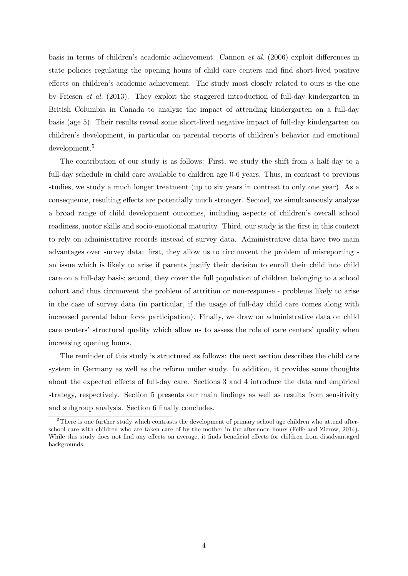basis in terms of children's academic achievement. Cannon et al. (2006) exploit differences in state policies regulating the opening hours of child care centers and find short-lived positive effects on children's academic achievement. The study most closely related to ours is the one by Friesen et al. (2013). They exploit the staggered introduction of full-day kindergarten in British Columbia in Canada to analyze the impact of attending kindergarten on a full-day basis (age 5). Their results reveal some short-lived negative impact of full-day kindergarten on children's development, in particular on parental reports of children's behavior and emotional development.<sup>5</sup>

The contribution of our study is as follows: First, we study the shift from a half-day to a full-day schedule in child care available to children age 0-6 years. Thus, in contrast to previous studies, we study a much longer treatment (up to six years in contrast to only one year). As a consequence, resulting effects are potentially much stronger. Second, we simultaneously analyze a broad range of child development outcomes, including aspects of children's overall school readiness, motor skills and socio-emotional maturity. Third, our study is the first in this context to rely on administrative records instead of survey data. Administrative data have two main advantages over survey data: first, they allow us to circumvent the problem of misreporting an issue which is likely to arise if parents justify their decision to enroll their child into child care on a full-day basis; second, they cover the full population of children belonging to a school cohort and thus circumvent the problem of attrition or non-response - problems likely to arise in the case of survey data (in particular, if the usage of full-day child care comes along with increased parental labor force participation). Finally, we draw on administrative data on child care centers' structural quality which allow us to assess the role of care centers' quality when increasing opening hours.

The reminder of this study is structured as follows: the next section describes the child care system in Germany as well as the reform under study. In addition, it provides some thoughts about the expected effects of full-day care. Sections 3 and 4 introduce the data and empirical strategy, respectively. Section 5 presents our main findings as well as results from sensitivity and subgroup analysis. Section 6 finally concludes.

<sup>&</sup>lt;sup>5</sup>There is one further study which contrasts the development of primary school age children who attend afterschool care with children who are taken care of by the mother in the afternoon hours (Felfe and Zierow, 2014). While this study does not find any effects on average, it finds beneficial effects for children from disadvantaged backgrounds.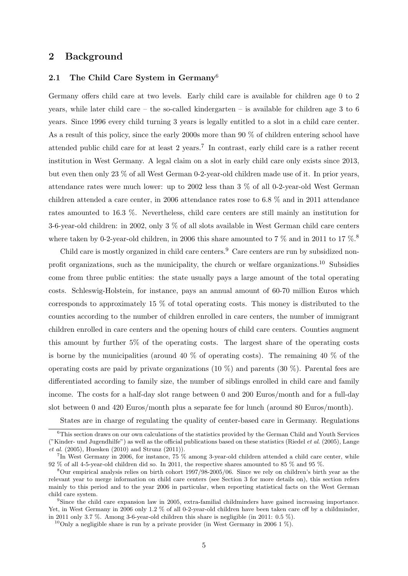### 2 Background

#### 2.1 The Child Care System in Germany<sup>6</sup>

Germany offers child care at two levels. Early child care is available for children age 0 to 2 years, while later child care – the so-called kindergarten – is available for children age 3 to 6 years. Since 1996 every child turning 3 years is legally entitled to a slot in a child care center. As a result of this policy, since the early 2000s more than 90 % of children entering school have attended public child care for at least 2 years.<sup>7</sup> In contrast, early child care is a rather recent institution in West Germany. A legal claim on a slot in early child care only exists since 2013, but even then only 23 % of all West German 0-2-year-old children made use of it. In prior years, attendance rates were much lower: up to 2002 less than 3 % of all 0-2-year-old West German children attended a care center, in 2006 attendance rates rose to 6.8 % and in 2011 attendance rates amounted to 16.3 %. Nevertheless, child care centers are still mainly an institution for 3-6-year-old children: in 2002, only 3 % of all slots available in West German child care centers where taken by 0-2-year-old children, in 2006 this share amounted to 7  $\%$  and in 2011 to 17  $\%$ .

Child care is mostly organized in child care centers.<sup>9</sup> Care centers are run by subsidized nonprofit organizations, such as the municipality, the church or welfare organizations.<sup>10</sup> Subsidies come from three public entities: the state usually pays a large amount of the total operating costs. Schleswig-Holstein, for instance, pays an annual amount of 60-70 million Euros which corresponds to approximately 15 % of total operating costs. This money is distributed to the counties according to the number of children enrolled in care centers, the number of immigrant children enrolled in care centers and the opening hours of child care centers. Counties augment this amount by further 5% of the operating costs. The largest share of the operating costs is borne by the municipalities (around 40  $\%$  of operating costs). The remaining 40  $\%$  of the operating costs are paid by private organizations  $(10 \%)$  and parents  $(30 \%)$ . Parental fees are differentiated according to family size, the number of siblings enrolled in child care and family income. The costs for a half-day slot range between 0 and 200 Euros/month and for a full-day slot between 0 and 420 Euros/month plus a separate fee for lunch (around 80 Euros/month).

States are in charge of regulating the quality of center-based care in Germany. Regulations

 ${}^{6}$ This section draws on our own calculations of the statistics provided by the German Child and Youth Services ("Kinder- und Jugendhilfe") as well as the official publications based on these statistics (Riedel et al. (2005), Lange et al. (2005), Huesken (2010) and Strunz (2011)).

<sup>7</sup> In West Germany in 2006, for instance, 75 % among 3-year-old children attended a child care center, while 92 % of all 4-5-year-old children did so. In 2011, the respective shares amounted to 85 % and 95 %.

<sup>8</sup>Our empirical analysis relies on birth cohort 1997/98-2005/06. Since we rely on children's birth year as the relevant year to merge information on child care centers (see Section 3 for more details on), this section refers mainly to this period and to the year 2006 in particular, when reporting statistical facts on the West German child care system.

<sup>9</sup>Since the child care expansion law in 2005, extra-familial childminders have gained increasing importance. Yet, in West Germany in 2006 only 1.2 % of all 0-2-year-old children have been taken care off by a childminder, in 2011 only 3.7 %. Among 3-6-year-old children this share is negligible (in 2011: 0.5 %).

<sup>&</sup>lt;sup>10</sup>Only a negligible share is run by a private provider (in West Germany in 2006 1  $\%$ ).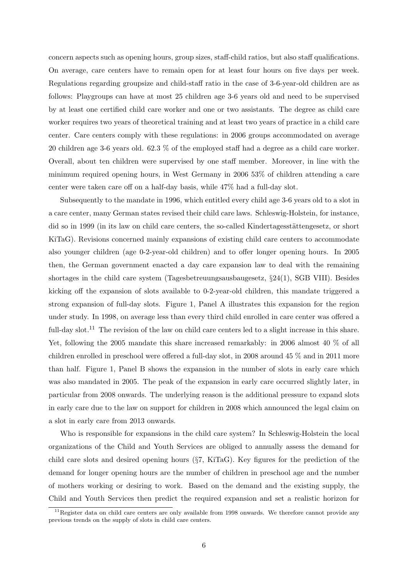concern aspects such as opening hours, group sizes, staff-child ratios, but also staff qualifications. On average, care centers have to remain open for at least four hours on five days per week. Regulations regarding groupsize and child-staff ratio in the case of 3-6-year-old children are as follows: Playgroups can have at most 25 children age 3-6 years old and need to be supervised by at least one certified child care worker and one or two assistants. The degree as child care worker requires two years of theoretical training and at least two years of practice in a child care center. Care centers comply with these regulations: in 2006 groups accommodated on average 20 children age 3-6 years old. 62.3 % of the employed staff had a degree as a child care worker. Overall, about ten children were supervised by one staff member. Moreover, in line with the minimum required opening hours, in West Germany in 2006 53% of children attending a care center were taken care off on a half-day basis, while 47% had a full-day slot.

Subsequently to the mandate in 1996, which entitled every child age 3-6 years old to a slot in a care center, many German states revised their child care laws. Schleswig-Holstein, for instance, did so in 1999 (in its law on child care centers, the so-called Kindertages is the short KiTaG). Revisions concerned mainly expansions of existing child care centers to accommodate also younger children (age 0-2-year-old children) and to offer longer opening hours. In 2005 then, the German government enacted a day care expansion law to deal with the remaining shortages in the child care system (Tagesbetreuungsausbaugesetz, §24(1), SGB VIII). Besides kicking off the expansion of slots available to 0-2-year-old children, this mandate triggered a strong expansion of full-day slots. Figure 1, Panel A illustrates this expansion for the region under study. In 1998, on average less than every third child enrolled in care center was offered a full-day slot.<sup>11</sup> The revision of the law on child care centers led to a slight increase in this share. Yet, following the 2005 mandate this share increased remarkably: in 2006 almost 40 % of all children enrolled in preschool were offered a full-day slot, in 2008 around 45 % and in 2011 more than half. Figure 1, Panel B shows the expansion in the number of slots in early care which was also mandated in 2005. The peak of the expansion in early care occurred slightly later, in particular from 2008 onwards. The underlying reason is the additional pressure to expand slots in early care due to the law on support for children in 2008 which announced the legal claim on a slot in early care from 2013 onwards.

Who is responsible for expansions in the child care system? In Schleswig-Holstein the local organizations of the Child and Youth Services are obliged to annually assess the demand for child care slots and desired opening hours (§7, KiTaG). Key figures for the prediction of the demand for longer opening hours are the number of children in preschool age and the number of mothers working or desiring to work. Based on the demand and the existing supply, the Child and Youth Services then predict the required expansion and set a realistic horizon for

 $11$ Register data on child care centers are only available from 1998 onwards. We therefore cannot provide any previous trends on the supply of slots in child care centers.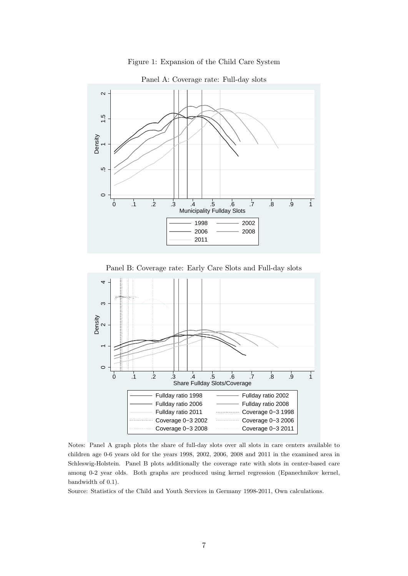



Panel A: Coverage rate: Full-day slots

Panel B: Coverage rate: Early Care Slots and Full-day slots



Notes: Panel A graph plots the share of full-day slots over all slots in care centers available to children age 0-6 years old for the years 1998, 2002, 2006, 2008 and 2011 in the examined area in Schleswig-Holstein. Panel B plots additionally the coverage rate with slots in center-based care among 0-2 year olds. Both graphs are produced using kernel regression (Epanechnikov kernel, bandwidth of 0.1).

Source: Statistics of the Child and Youth Services in Germany 1998-2011, Own calculations.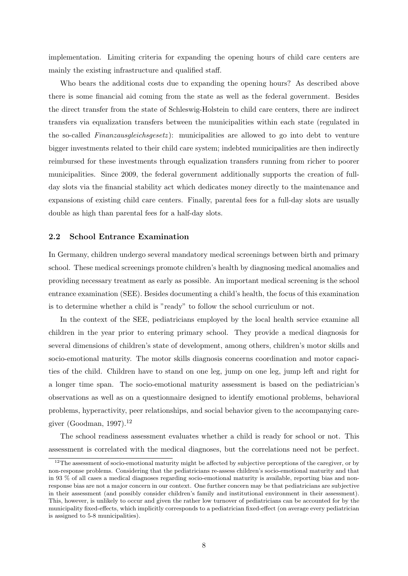implementation. Limiting criteria for expanding the opening hours of child care centers are mainly the existing infrastructure and qualified staff.

Who bears the additional costs due to expanding the opening hours? As described above there is some financial aid coming from the state as well as the federal government. Besides the direct transfer from the state of Schleswig-Holstein to child care centers, there are indirect transfers via equalization transfers between the municipalities within each state (regulated in the so-called *Finanzausgleichsgesetz*): municipalities are allowed to go into debt to venture bigger investments related to their child care system; indebted municipalities are then indirectly reimbursed for these investments through equalization transfers running from richer to poorer municipalities. Since 2009, the federal government additionally supports the creation of fullday slots via the financial stability act which dedicates money directly to the maintenance and expansions of existing child care centers. Finally, parental fees for a full-day slots are usually double as high than parental fees for a half-day slots.

#### 2.2 School Entrance Examination

In Germany, children undergo several mandatory medical screenings between birth and primary school. These medical screenings promote children's health by diagnosing medical anomalies and providing necessary treatment as early as possible. An important medical screening is the school entrance examination (SEE). Besides documenting a child's health, the focus of this examination is to determine whether a child is "ready" to follow the school curriculum or not.

In the context of the SEE, pediatricians employed by the local health service examine all children in the year prior to entering primary school. They provide a medical diagnosis for several dimensions of children's state of development, among others, children's motor skills and socio-emotional maturity. The motor skills diagnosis concerns coordination and motor capacities of the child. Children have to stand on one leg, jump on one leg, jump left and right for a longer time span. The socio-emotional maturity assessment is based on the pediatrician's observations as well as on a questionnaire designed to identify emotional problems, behavioral problems, hyperactivity, peer relationships, and social behavior given to the accompanying caregiver (Goodman, 1997). $^{12}$ 

The school readiness assessment evaluates whether a child is ready for school or not. This assessment is correlated with the medical diagnoses, but the correlations need not be perfect.

 $12$ The assessment of socio-emotional maturity might be affected by subjective perceptions of the caregiver, or by non-response problems. Considering that the pediatricians re-assess children's socio-emotional maturity and that in 93 % of all cases a medical diagnoses regarding socio-emotional maturity is available, reporting bias and nonresponse bias are not a major concern in our context. One further concern may be that pediatricians are subjective in their assessment (and possibly consider children's family and institutional environment in their assessment). This, however, is unlikely to occur and given the rather low turnover of pediatricians can be accounted for by the municipality fixed-effects, which implicitly corresponds to a pediatrician fixed-effect (on average every pediatrician is assigned to 5-8 municipalities).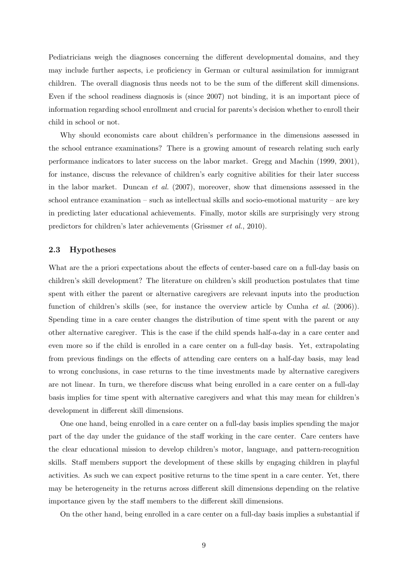Pediatricians weigh the diagnoses concerning the different developmental domains, and they may include further aspects, i.e proficiency in German or cultural assimilation for immigrant children. The overall diagnosis thus needs not to be the sum of the different skill dimensions. Even if the school readiness diagnosis is (since 2007) not binding, it is an important piece of information regarding school enrollment and crucial for parents's decision whether to enroll their child in school or not.

Why should economists care about children's performance in the dimensions assessed in the school entrance examinations? There is a growing amount of research relating such early performance indicators to later success on the labor market. Gregg and Machin (1999, 2001), for instance, discuss the relevance of children's early cognitive abilities for their later success in the labor market. Duncan et al. (2007), moreover, show that dimensions assessed in the school entrance examination – such as intellectual skills and socio-emotional maturity – are key in predicting later educational achievements. Finally, motor skills are surprisingly very strong predictors for children's later achievements (Grissmer et al., 2010).

#### 2.3 Hypotheses

What are the a priori expectations about the effects of center-based care on a full-day basis on children's skill development? The literature on children's skill production postulates that time spent with either the parent or alternative caregivers are relevant inputs into the production function of children's skills (see, for instance the overview article by Cunha *et al.* (2006)). Spending time in a care center changes the distribution of time spent with the parent or any other alternative caregiver. This is the case if the child spends half-a-day in a care center and even more so if the child is enrolled in a care center on a full-day basis. Yet, extrapolating from previous findings on the effects of attending care centers on a half-day basis, may lead to wrong conclusions, in case returns to the time investments made by alternative caregivers are not linear. In turn, we therefore discuss what being enrolled in a care center on a full-day basis implies for time spent with alternative caregivers and what this may mean for children's development in different skill dimensions.

One one hand, being enrolled in a care center on a full-day basis implies spending the major part of the day under the guidance of the staff working in the care center. Care centers have the clear educational mission to develop children's motor, language, and pattern-recognition skills. Staff members support the development of these skills by engaging children in playful activities. As such we can expect positive returns to the time spent in a care center. Yet, there may be heterogeneity in the returns across different skill dimensions depending on the relative importance given by the staff members to the different skill dimensions.

On the other hand, being enrolled in a care center on a full-day basis implies a substantial if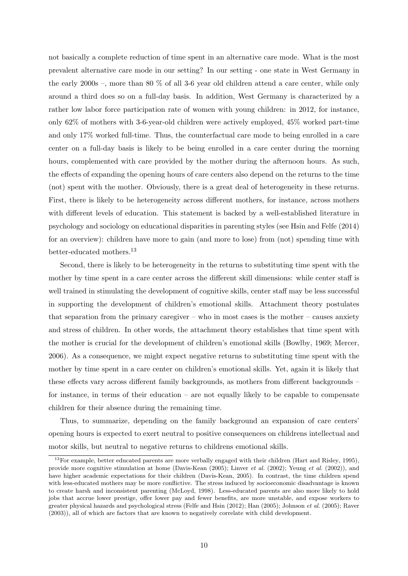not basically a complete reduction of time spent in an alternative care mode. What is the most prevalent alternative care mode in our setting? In our setting - one state in West Germany in the early 2000s –, more than 80  $\%$  of all 3-6 year old children attend a care center, while only around a third does so on a full-day basis. In addition, West Germany is characterized by a rather low labor force participation rate of women with young children: in 2012, for instance, only 62% of mothers with 3-6-year-old children were actively employed, 45% worked part-time and only 17% worked full-time. Thus, the counterfactual care mode to being enrolled in a care center on a full-day basis is likely to be being enrolled in a care center during the morning hours, complemented with care provided by the mother during the afternoon hours. As such, the effects of expanding the opening hours of care centers also depend on the returns to the time (not) spent with the mother. Obviously, there is a great deal of heterogeneity in these returns. First, there is likely to be heterogeneity across different mothers, for instance, across mothers with different levels of education. This statement is backed by a well-established literature in psychology and sociology on educational disparities in parenting styles (see Hsin and Felfe (2014) for an overview): children have more to gain (and more to lose) from (not) spending time with better-educated mothers.<sup>13</sup>

Second, there is likely to be heterogeneity in the returns to substituting time spent with the mother by time spent in a care center across the different skill dimensions: while center staff is well trained in stimulating the development of cognitive skills, center staff may be less successful in supporting the development of children's emotional skills. Attachment theory postulates that separation from the primary caregiver – who in most cases is the mother – causes anxiety and stress of children. In other words, the attachment theory establishes that time spent with the mother is crucial for the development of children's emotional skills (Bowlby, 1969; Mercer, 2006). As a consequence, we might expect negative returns to substituting time spent with the mother by time spent in a care center on children's emotional skills. Yet, again it is likely that these effects vary across different family backgrounds, as mothers from different backgrounds – for instance, in terms of their education – are not equally likely to be capable to compensate children for their absence during the remaining time.

Thus, to summarize, depending on the family background an expansion of care centers' opening hours is expected to exert neutral to positive consequences on childrens intellectual and motor skills, but neutral to negative returns to childrens emotional skills.

<sup>&</sup>lt;sup>13</sup>For example, better educated parents are more verbally engaged with their children (Hart and Risley, 1995), provide more cognitive stimulation at home (Davis-Kean (2005); Linver et al. (2002); Yeung et al. (2002)), and have higher academic expectations for their children (Davis-Kean, 2005). In contrast, the time children spend with less-educated mothers may be more conflictive. The stress induced by socioeconomic disadvantage is known to create harsh and inconsistent parenting (McLoyd, 1998). Less-educated parents are also more likely to hold jobs that accrue lower prestige, offer lower pay and fewer benefits, are more unstable, and expose workers to greater physical hazards and psychological stress (Felfe and Hsin (2012); Han (2005); Johnson et al. (2005); Raver (2003)), all of which are factors that are known to negatively correlate with child development.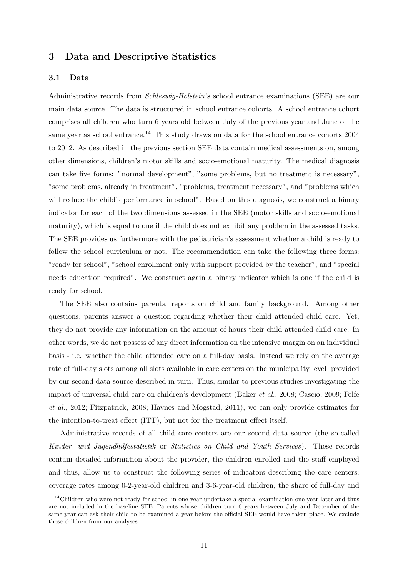## 3 Data and Descriptive Statistics

#### 3.1 Data

Administrative records from *Schleswig-Holstein's* school entrance examinations (SEE) are our main data source. The data is structured in school entrance cohorts. A school entrance cohort comprises all children who turn 6 years old between July of the previous year and June of the same year as school entrance.<sup>14</sup> This study draws on data for the school entrance cohorts  $2004$ to 2012. As described in the previous section SEE data contain medical assessments on, among other dimensions, children's motor skills and socio-emotional maturity. The medical diagnosis can take five forms: "normal development", "some problems, but no treatment is necessary", "some problems, already in treatment", "problems, treatment necessary", and "problems which will reduce the child's performance in school". Based on this diagnosis, we construct a binary indicator for each of the two dimensions assessed in the SEE (motor skills and socio-emotional maturity), which is equal to one if the child does not exhibit any problem in the assessed tasks. The SEE provides us furthermore with the pediatrician's assessment whether a child is ready to follow the school curriculum or not. The recommendation can take the following three forms: "ready for school", "school enrollment only with support provided by the teacher", and "special needs education required". We construct again a binary indicator which is one if the child is ready for school.

The SEE also contains parental reports on child and family background. Among other questions, parents answer a question regarding whether their child attended child care. Yet, they do not provide any information on the amount of hours their child attended child care. In other words, we do not possess of any direct information on the intensive margin on an individual basis - i.e. whether the child attended care on a full-day basis. Instead we rely on the average rate of full-day slots among all slots available in care centers on the municipality level provided by our second data source described in turn. Thus, similar to previous studies investigating the impact of universal child care on children's development (Baker et al., 2008; Cascio, 2009; Felfe et al., 2012; Fitzpatrick, 2008; Havnes and Mogstad, 2011), we can only provide estimates for the intention-to-treat effect (ITT), but not for the treatment effect itself.

Administrative records of all child care centers are our second data source (the so-called Kinder- und Jugendhilfestatistik or Statistics on Child and Youth Services). These records contain detailed information about the provider, the children enrolled and the staff employed and thus, allow us to construct the following series of indicators describing the care centers: coverage rates among 0-2-year-old children and 3-6-year-old children, the share of full-day and

<sup>&</sup>lt;sup>14</sup>Children who were not ready for school in one year undertake a special examination one year later and thus are not included in the baseline SEE. Parents whose children turn 6 years between July and December of the same year can ask their child to be examined a year before the official SEE would have taken place. We exclude these children from our analyses.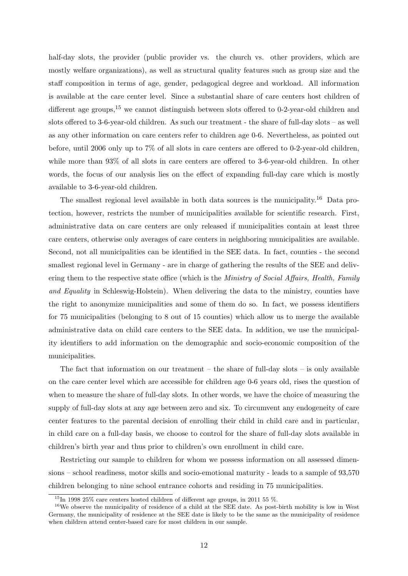half-day slots, the provider (public provider vs. the church vs. other providers, which are mostly welfare organizations), as well as structural quality features such as group size and the staff composition in terms of age, gender, pedagogical degree and workload. All information is available at the care center level. Since a substantial share of care centers host children of different age groups,  $15$  we cannot distinguish between slots offered to 0-2-year-old children and slots offered to 3-6-year-old children. As such our treatment - the share of full-day slots – as well as any other information on care centers refer to children age 0-6. Nevertheless, as pointed out before, until 2006 only up to 7% of all slots in care centers are offered to 0-2-year-old children, while more than 93% of all slots in care centers are offered to 3-6-year-old children. In other words, the focus of our analysis lies on the effect of expanding full-day care which is mostly available to 3-6-year-old children.

The smallest regional level available in both data sources is the municipality.<sup>16</sup> Data protection, however, restricts the number of municipalities available for scientific research. First, administrative data on care centers are only released if municipalities contain at least three care centers, otherwise only averages of care centers in neighboring municipalities are available. Second, not all municipalities can be identified in the SEE data. In fact, counties - the second smallest regional level in Germany - are in charge of gathering the results of the SEE and delivering them to the respective state office (which is the *Ministry of Social Affairs, Health, Family* and Equality in Schleswig-Holstein). When delivering the data to the ministry, counties have the right to anonymize municipalities and some of them do so. In fact, we possess identifiers for 75 municipalities (belonging to 8 out of 15 counties) which allow us to merge the available administrative data on child care centers to the SEE data. In addition, we use the municipality identifiers to add information on the demographic and socio-economic composition of the municipalities.

The fact that information on our treatment – the share of full-day slots – is only available on the care center level which are accessible for children age 0-6 years old, rises the question of when to measure the share of full-day slots. In other words, we have the choice of measuring the supply of full-day slots at any age between zero and six. To circumvent any endogeneity of care center features to the parental decision of enrolling their child in child care and in particular, in child care on a full-day basis, we choose to control for the share of full-day slots available in children's birth year and thus prior to children's own enrollment in child care.

Restricting our sample to children for whom we possess information on all assessed dimensions – school readiness, motor skills and socio-emotional maturity - leads to a sample of 93,570 children belonging to nine school entrance cohorts and residing in 75 municipalities.

<sup>&</sup>lt;sup>15</sup>In 1998 25\% care centers hosted children of different age groups, in 2011 55 \%.

<sup>&</sup>lt;sup>16</sup>We observe the municipality of residence of a child at the SEE date. As post-birth mobility is low in West Germany, the municipality of residence at the SEE date is likely to be the same as the municipality of residence when children attend center-based care for most children in our sample.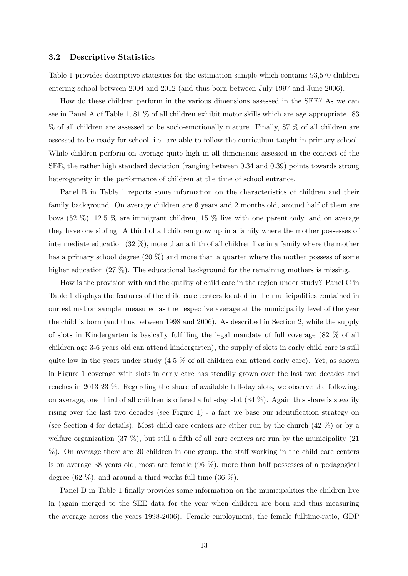#### 3.2 Descriptive Statistics

Table 1 provides descriptive statistics for the estimation sample which contains 93,570 children entering school between 2004 and 2012 (and thus born between July 1997 and June 2006).

How do these children perform in the various dimensions assessed in the SEE? As we can see in Panel A of Table 1, 81 % of all children exhibit motor skills which are age appropriate. 83 % of all children are assessed to be socio-emotionally mature. Finally, 87 % of all children are assessed to be ready for school, i.e. are able to follow the curriculum taught in primary school. While children perform on average quite high in all dimensions assessed in the context of the SEE, the rather high standard deviation (ranging between 0.34 and 0.39) points towards strong heterogeneity in the performance of children at the time of school entrance.

Panel B in Table 1 reports some information on the characteristics of children and their family background. On average children are 6 years and 2 months old, around half of them are boys  $(52 \%)$ ,  $12.5 \%$  are immigrant children,  $15 \%$  live with one parent only, and on average they have one sibling. A third of all children grow up in a family where the mother possesses of intermediate education  $(32\%)$ , more than a fifth of all children live in a family where the mother has a primary school degree  $(20 \%)$  and more than a quarter where the mother possess of some higher education (27 %). The educational background for the remaining mothers is missing.

How is the provision with and the quality of child care in the region under study? Panel C in Table 1 displays the features of the child care centers located in the municipalities contained in our estimation sample, measured as the respective average at the municipality level of the year the child is born (and thus between 1998 and 2006). As described in Section 2, while the supply of slots in Kindergarten is basically fulfilling the legal mandate of full coverage (82 % of all children age 3-6 years old can attend kindergarten), the supply of slots in early child care is still quite low in the years under study  $(4.5\%$  of all children can attend early care). Yet, as shown in Figure 1 coverage with slots in early care has steadily grown over the last two decades and reaches in 2013 23 %. Regarding the share of available full-day slots, we observe the following: on average, one third of all children is offered a full-day slot (34 %). Again this share is steadily rising over the last two decades (see Figure 1) - a fact we base our identification strategy on (see Section 4 for details). Most child care centers are either run by the church (42 %) or by a welfare organization  $(37 \%)$ , but still a fifth of all care centers are run by the municipality  $(21$ %). On average there are 20 children in one group, the staff working in the child care centers is on average 38 years old, most are female (96 %), more than half possesses of a pedagogical degree  $(62 \%)$ , and around a third works full-time  $(36 \%)$ .

Panel D in Table 1 finally provides some information on the municipalities the children live in (again merged to the SEE data for the year when children are born and thus measuring the average across the years 1998-2006). Female employment, the female fulltime-ratio, GDP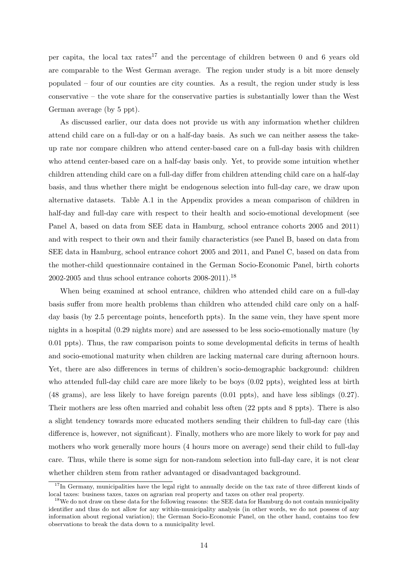per capita, the local tax rates<sup>17</sup> and the percentage of children between 0 and 6 years old are comparable to the West German average. The region under study is a bit more densely populated – four of our counties are city counties. As a result, the region under study is less conservative – the vote share for the conservative parties is substantially lower than the West German average (by 5 ppt).

As discussed earlier, our data does not provide us with any information whether children attend child care on a full-day or on a half-day basis. As such we can neither assess the takeup rate nor compare children who attend center-based care on a full-day basis with children who attend center-based care on a half-day basis only. Yet, to provide some intuition whether children attending child care on a full-day differ from children attending child care on a half-day basis, and thus whether there might be endogenous selection into full-day care, we draw upon alternative datasets. Table A.1 in the Appendix provides a mean comparison of children in half-day and full-day care with respect to their health and socio-emotional development (see Panel A, based on data from SEE data in Hamburg, school entrance cohorts 2005 and 2011) and with respect to their own and their family characteristics (see Panel B, based on data from SEE data in Hamburg, school entrance cohort 2005 and 2011, and Panel C, based on data from the mother-child questionnaire contained in the German Socio-Economic Panel, birth cohorts 2002-2005 and thus school entrance cohorts  $2008-2011$ .<sup>18</sup>

When being examined at school entrance, children who attended child care on a full-day basis suffer from more health problems than children who attended child care only on a halfday basis (by 2.5 percentage points, henceforth ppts). In the same vein, they have spent more nights in a hospital (0.29 nights more) and are assessed to be less socio-emotionally mature (by 0.01 ppts). Thus, the raw comparison points to some developmental deficits in terms of health and socio-emotional maturity when children are lacking maternal care during afternoon hours. Yet, there are also differences in terms of children's socio-demographic background: children who attended full-day child care are more likely to be boys (0.02 ppts), weighted less at birth (48 grams), are less likely to have foreign parents (0.01 ppts), and have less siblings (0.27). Their mothers are less often married and cohabit less often (22 ppts and 8 ppts). There is also a slight tendency towards more educated mothers sending their children to full-day care (this difference is, however, not significant). Finally, mothers who are more likely to work for pay and mothers who work generally more hours (4 hours more on average) send their child to full-day care. Thus, while there is some sign for non-random selection into full-day care, it is not clear whether children stem from rather advantaged or disadvantaged background.

<sup>&</sup>lt;sup>17</sup>In Germany, municipalities have the legal right to annually decide on the tax rate of three different kinds of local taxes: business taxes, taxes on agrarian real property and taxes on other real property.

<sup>&</sup>lt;sup>18</sup>We do not draw on these data for the following reasons: the SEE data for Hamburg do not contain municipality identifier and thus do not allow for any within-municipality analysis (in other words, we do not possess of any information about regional variation); the German Socio-Economic Panel, on the other hand, contains too few observations to break the data down to a municipality level.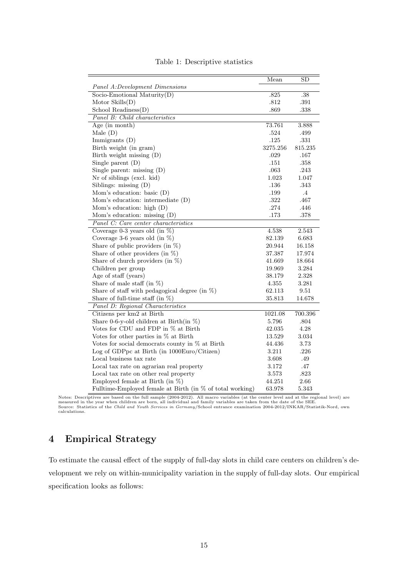|                                                           | Mean       | $\overline{\text{SD}}$ |
|-----------------------------------------------------------|------------|------------------------|
| Panel A:Development Dimensions                            |            |                        |
| Socio-Emotional Maturity $(D)$                            | .825       | $.38\,$                |
| Motor $S$ kills $(D)$                                     | .812       | .391                   |
| School Readiness $(D)$                                    | .869       | .338                   |
| Panel B: Child characteristics                            |            |                        |
| Age (in month)                                            | 73.761     | 3.888                  |
| Male $(D)$                                                | .524       | .499                   |
| Immigrants (D)                                            | .125       | $.331\,$               |
| Birth weight (in gram)                                    | 3275.256   | 815.235                |
| Birth weight missing (D)                                  | $.029\,$   | .167                   |
| Single parent $(D)$                                       | .151       | .358                   |
| Single parent: missing $(D)$                              | .063       | .243                   |
| Nr of siblings (excl. kid)                                | 1.023      | 1.047                  |
| Siblings: missing $(D)$                                   | .136       | .343                   |
| Mom's education: basic (D)                                | .199       | $\cdot$ 4              |
| Mom's education: intermediate (D)                         | .322       | .467                   |
| Mom's education: high (D)                                 | .274       | .446                   |
| Mom's education: missing $(D)$                            | .173       | $.378\,$               |
| Panel C: Care center characteristics                      |            |                        |
| Coverage 0-3 years old (in $\%$ )                         | 4.538      | 2.543                  |
| Coverage 3-6 years old (in $\%$ )                         | 82.139     | 6.683                  |
| Share of public providers (in $\%$ )                      | 20.944     | 16.158                 |
| Share of other providers (in $\%$ )                       | 37.387     | 17.974                 |
| Share of church providers (in $\%$ )                      | 41.669     | 18.664                 |
| Children per group                                        | 19.969     | 3.284                  |
| Age of staff (years)                                      | 38.179     | 2.328                  |
| Share of male staff (in $\%$ )                            | $4.355\,$  | 3.281                  |
| Share of staff with pedagogical degree (in $\%$ )         | 62.113     | 9.51                   |
| Share of full-time staff (in $\%$ )                       | 35.813     | 14.678                 |
| Panel D: Regional Characteristics                         |            |                        |
| Citizens per km2 at Birth                                 | 1021.08    | 700.396                |
| Share 0-6-y-old children at Birth(in $\%$ )               | 5.796      | .804                   |
| Votes for CDU and FDP in % at Birth                       | $42.035\,$ | 4.28                   |
| Votes for other parties in % at Birth                     | 13.529     | 3.034                  |
| Votes for social democrats county in $%$ at Birth         | 44.436     | 3.73                   |
| Log of GDPpc at Birth (in 1000Euro/Citizen)               | 3.211      | .226                   |
| Local business tax rate                                   | 3.608      | .49                    |
| Local tax rate on agrarian real property                  | 3.172      | .47                    |
| Local tax rate on other real property                     | 3.573      | .823                   |
| Employed female at Birth (in $\%$ )                       | 44.251     | 2.66                   |
| Fulltime-Employed female at Birth (in % of total working) | 63.978     | 5.343                  |

Table 1: Descriptive statistics

Notes: Descriptives are based on the full sample (2004-2012). All macro variables (at the center level and at the regional level) are<br>measured in the year when children are born, all individual and family variables are tak

## 4 Empirical Strategy

To estimate the causal effect of the supply of full-day slots in child care centers on children's development we rely on within-municipality variation in the supply of full-day slots. Our empirical specification looks as follows: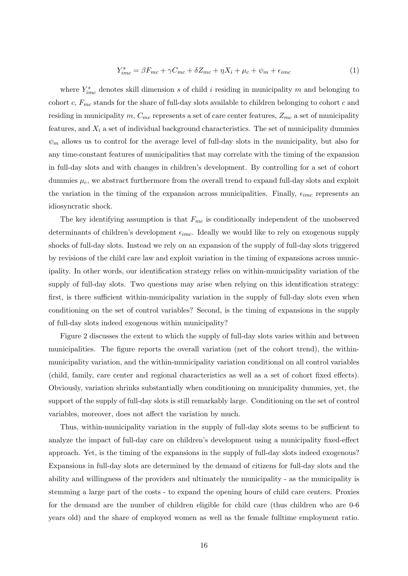$$
Y_{imc}^{s} = \beta F_{mc} + \gamma C_{mc} + \delta Z_{mc} + \eta X_i + \mu_c + \psi_m + \epsilon_{imc}
$$
 (1)

where  $Y_{imc}^s$  denotes skill dimension s of child i residing in municipality m and belonging to cohort c,  $F_{mc}$  stands for the share of full-day slots available to children belonging to cohort c and residing in municipality m,  $C_{mc}$  represents a set of care center features,  $Z_{mc}$  a set of municipality features, and  $X_i$  a set of individual background characteristics. The set of municipality dummies  $\psi_m$  allows us to control for the average level of full-day slots in the municipality, but also for any time-constant features of municipalities that may correlate with the timing of the expansion in full-day slots and with changes in children's development. By controlling for a set of cohort dummies  $\mu_c$ , we abstract furthermore from the overall trend to expand full-day slots and exploit the variation in the timing of the expansion across municipalities. Finally,  $\epsilon_{imc}$  represents an idiosyncratic shock.

The key identifying assumption is that  $F_{mc}$  is conditionally independent of the unobserved determinants of children's development  $\epsilon_{inc}$ . Ideally we would like to rely on exogenous supply shocks of full-day slots. Instead we rely on an expansion of the supply of full-day slots triggered by revisions of the child care law and exploit variation in the timing of expansions across municipality. In other words, our identification strategy relies on within-municipality variation of the supply of full-day slots. Two questions may arise when relying on this identification strategy: first, is there sufficient within-municipality variation in the supply of full-day slots even when conditioning on the set of control variables? Second, is the timing of expansions in the supply of full-day slots indeed exogenous within municipality?

Figure 2 discusses the extent to which the supply of full-day slots varies within and between municipalities. The figure reports the overall variation (net of the cohort trend), the withinmunicipality variation, and the within-municipality variation conditional on all control variables (child, family, care center and regional characteristics as well as a set of cohort fixed effects). Obviously, variation shrinks substantially when conditioning on municipality dummies, yet, the support of the supply of full-day slots is still remarkably large. Conditioning on the set of control variables, moreover, does not affect the variation by much.

Thus, within-municipality variation in the supply of full-day slots seems to be sufficient to analyze the impact of full-day care on children's development using a municipality fixed-effect approach. Yet, is the timing of the expansions in the supply of full-day slots indeed exogenous? Expansions in full-day slots are determined by the demand of citizens for full-day slots and the ability and willingness of the providers and ultimately the municipality - as the municipality is stemming a large part of the costs - to expand the opening hours of child care centers. Proxies for the demand are the number of children eligible for child care (thus children who are 0-6 years old) and the share of employed women as well as the female fulltime employment ratio.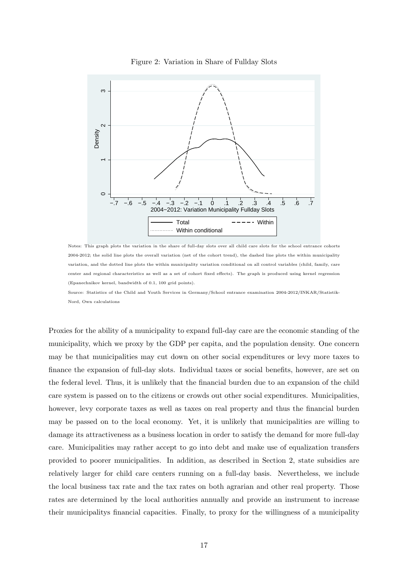

Figure 2: Variation in Share of Fullday Slots

Notes: This graph plots the variation in the share of full-day slots over all child care slots for the school entrance cohorts 2004-2012; the solid line plots the overall variation (net of the cohort trend), the dashed line plots the within municipality variation, and the dotted line plots the within municipality variation conditional on all control variables (child, family, care center and regional characteristics as well as a set of cohort fixed effects). The graph is produced using kernel regression (Epanechnikov kernel, bandwidth of 0.1, 100 grid points).

Source: Statistics of the Child and Youth Services in Germany/School entrance examination 2004-2012/INKAR/Statistik-Nord, Own calculations

Proxies for the ability of a municipality to expand full-day care are the economic standing of the municipality, which we proxy by the GDP per capita, and the population density. One concern may be that municipalities may cut down on other social expenditures or levy more taxes to finance the expansion of full-day slots. Individual taxes or social benefits, however, are set on the federal level. Thus, it is unlikely that the financial burden due to an expansion of the child care system is passed on to the citizens or crowds out other social expenditures. Municipalities, however, levy corporate taxes as well as taxes on real property and thus the financial burden may be passed on to the local economy. Yet, it is unlikely that municipalities are willing to damage its attractiveness as a business location in order to satisfy the demand for more full-day care. Municipalities may rather accept to go into debt and make use of equalization transfers provided to poorer municipalities. In addition, as described in Section 2, state subsidies are relatively larger for child care centers running on a full-day basis. Nevertheless, we include the local business tax rate and the tax rates on both agrarian and other real property. Those rates are determined by the local authorities annually and provide an instrument to increase their municipalitys financial capacities. Finally, to proxy for the willingness of a municipality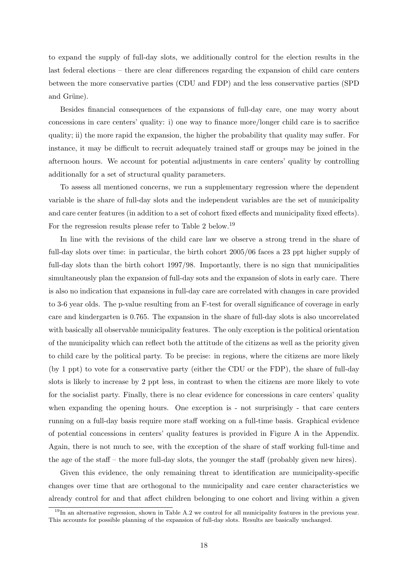to expand the supply of full-day slots, we additionally control for the election results in the last federal elections – there are clear differences regarding the expansion of child care centers between the more conservative parties (CDU and FDP) and the less conservative parties (SPD and Grüne).

Besides financial consequences of the expansions of full-day care, one may worry about concessions in care centers' quality: i) one way to finance more/longer child care is to sacrifice quality; ii) the more rapid the expansion, the higher the probability that quality may suffer. For instance, it may be difficult to recruit adequately trained staff or groups may be joined in the afternoon hours. We account for potential adjustments in care centers' quality by controlling additionally for a set of structural quality parameters.

To assess all mentioned concerns, we run a supplementary regression where the dependent variable is the share of full-day slots and the independent variables are the set of municipality and care center features (in addition to a set of cohort fixed effects and municipality fixed effects). For the regression results please refer to Table 2 below.<sup>19</sup>

In line with the revisions of the child care law we observe a strong trend in the share of full-day slots over time: in particular, the birth cohort 2005/06 faces a 23 ppt higher supply of full-day slots than the birth cohort 1997/98. Importantly, there is no sign that municipalities simultaneously plan the expansion of full-day sots and the expansion of slots in early care. There is also no indication that expansions in full-day care are correlated with changes in care provided to 3-6 year olds. The p-value resulting from an F-test for overall significance of coverage in early care and kindergarten is 0.765. The expansion in the share of full-day slots is also uncorrelated with basically all observable municipality features. The only exception is the political orientation of the municipality which can reflect both the attitude of the citizens as well as the priority given to child care by the political party. To be precise: in regions, where the citizens are more likely (by 1 ppt) to vote for a conservative party (either the CDU or the FDP), the share of full-day slots is likely to increase by 2 ppt less, in contrast to when the citizens are more likely to vote for the socialist party. Finally, there is no clear evidence for concessions in care centers' quality when expanding the opening hours. One exception is - not surprisingly - that care centers running on a full-day basis require more staff working on a full-time basis. Graphical evidence of potential concessions in centers' quality features is provided in Figure A in the Appendix. Again, there is not much to see, with the exception of the share of staff working full-time and the age of the staff – the more full-day slots, the younger the staff (probably given new hires).

Given this evidence, the only remaining threat to identification are municipality-specific changes over time that are orthogonal to the municipality and care center characteristics we already control for and that affect children belonging to one cohort and living within a given

 $19$ In an alternative regression, shown in Table A.2 we control for all municipality features in the previous year. This accounts for possible planning of the expansion of full-day slots. Results are basically unchanged.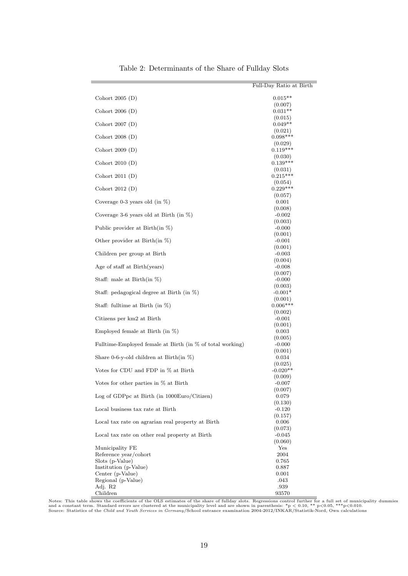|                                                           | Full-Day Ratio at Birth |
|-----------------------------------------------------------|-------------------------|
| Cohort $2005(D)$                                          | $0.015**$               |
|                                                           | (0.007)                 |
| Cohort $2006$ (D)                                         | $0.031**$               |
|                                                           | (0.015)                 |
| Cohort $2007(D)$                                          | $0.049**$               |
| Cohort $2008(D)$                                          | (0.021)<br>$0.098***$   |
|                                                           | (0.029)                 |
| Cohort $2009(D)$                                          | $0.119***$              |
|                                                           | (0.030)                 |
| Cohort $2010(D)$                                          | $0.139***$<br>(0.031)   |
| Cohort $2011(D)$                                          | $0.215***$              |
|                                                           | (0.054)                 |
| Cohort $2012(D)$                                          | $0.229***$              |
| Coverage 0-3 years old (in $\%$ )                         | (0.057)                 |
|                                                           | 0.001<br>(0.008)        |
| Coverage 3-6 years old at Birth (in $\%$ )                | $-0.002$                |
|                                                           | (0.003)                 |
| Public provider at Birth(in $\% )$                        | $-0.000$                |
|                                                           | (0.001)                 |
| Other provider at Birth(in $\%$ )                         | $-0.001$                |
|                                                           | (0.001)                 |
| Children per group at Birth                               | $-0.003$                |
| Age of staff at Birth(years)                              | (0.004)                 |
|                                                           | $-0.008$<br>(0.007)     |
| Staff: male at Birth $(in \%)$                            | $-0.000$                |
|                                                           | (0.003)                 |
| Staff: pedagogical degree at Birth (in %)                 | $-0.001*$               |
|                                                           | (0.001)                 |
| Staff: fulltime at Birth (in $\%$ )                       | $0.006***$              |
|                                                           | (0.002)                 |
| Citizens per km2 at Birth                                 | $-0.001$                |
| Employed female at Birth (in $\%$ )                       | (0.001)<br>0.003        |
|                                                           | (0.005)                 |
| Fulltime-Employed female at Birth (in % of total working) | $-0.000$                |
|                                                           | (0.001)                 |
| Share 0-6-y-old children at Birth(in $\%$ )               | 0.034                   |
|                                                           | (0.025)                 |
| Votes for CDU and FDP in % at Birth                       | $-0.020**$              |
|                                                           | (0.009)<br>$-0.007$     |
| Votes for other parties in % at Birth                     | (0.007)                 |
| Log of GDPpc at Birth (in 1000Euro/Citizen)               | 0.079                   |
|                                                           | (0.130)                 |
| Local business tax rate at Birth                          | $-0.120$                |
|                                                           | (0.157)                 |
| Local tax rate on agrarian real property at Birth         | 0.006                   |
|                                                           | (0.073)                 |
| Local tax rate on other real property at Birth            | $-0.045$                |
| Municipality FE                                           | (0.060)<br>Yes          |
| Reference year/cohort                                     | 2004                    |
| Slots (p-Value)                                           | 0.765                   |
| Institution (p-Value)                                     | 0.887                   |
| Center (p-Value)                                          | 0.001                   |
| Regional (p-Value)                                        | .043                    |
| Adj. R2                                                   | .939                    |
| Children                                                  | 93570                   |

Table 2: Determinants of the Share of Fullday Slots

Notes: This table shows the coefficients of the OLS estimates of the share of fullday slots. Regressions control further for a full set of municipality dummies<br>and a constant term. Standard errors are clustered at the muni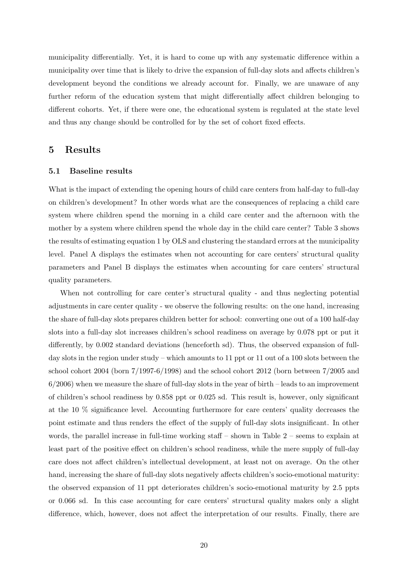municipality differentially. Yet, it is hard to come up with any systematic difference within a municipality over time that is likely to drive the expansion of full-day slots and affects children's development beyond the conditions we already account for. Finally, we are unaware of any further reform of the education system that might differentially affect children belonging to different cohorts. Yet, if there were one, the educational system is regulated at the state level and thus any change should be controlled for by the set of cohort fixed effects.

## 5 Results

#### 5.1 Baseline results

What is the impact of extending the opening hours of child care centers from half-day to full-day on children's development? In other words what are the consequences of replacing a child care system where children spend the morning in a child care center and the afternoon with the mother by a system where children spend the whole day in the child care center? Table 3 shows the results of estimating equation 1 by OLS and clustering the standard errors at the municipality level. Panel A displays the estimates when not accounting for care centers' structural quality parameters and Panel B displays the estimates when accounting for care centers' structural quality parameters.

When not controlling for care center's structural quality - and thus neglecting potential adjustments in care center quality - we observe the following results: on the one hand, increasing the share of full-day slots prepares children better for school: converting one out of a 100 half-day slots into a full-day slot increases children's school readiness on average by 0.078 ppt or put it differently, by 0.002 standard deviations (henceforth sd). Thus, the observed expansion of fullday slots in the region under study – which amounts to 11 ppt or 11 out of a 100 slots between the school cohort 2004 (born 7/1997-6/1998) and the school cohort 2012 (born between 7/2005 and  $6/2006$ ) when we measure the share of full-day slots in the year of birth – leads to an improvement of children's school readiness by 0.858 ppt or 0.025 sd. This result is, however, only significant at the 10 % significance level. Accounting furthermore for care centers' quality decreases the point estimate and thus renders the effect of the supply of full-day slots insignificant. In other words, the parallel increase in full-time working staff – shown in Table  $2$  – seems to explain at least part of the positive effect on children's school readiness, while the mere supply of full-day care does not affect children's intellectual development, at least not on average. On the other hand, increasing the share of full-day slots negatively affects children's socio-emotional maturity: the observed expansion of 11 ppt deteriorates children's socio-emotional maturity by 2.5 ppts or 0.066 sd. In this case accounting for care centers' structural quality makes only a slight difference, which, however, does not affect the interpretation of our results. Finally, there are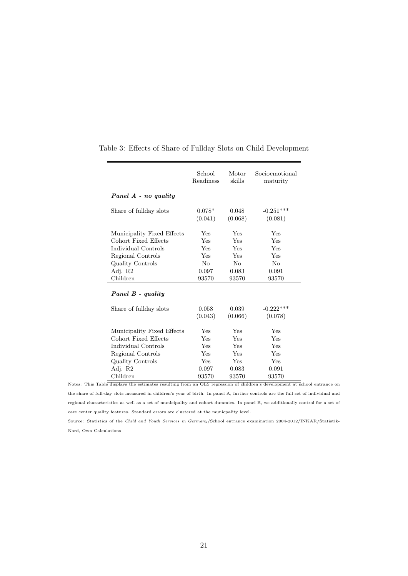|                            | School<br>Readiness | Motor<br>skills  | Socioemotional<br>maturity |
|----------------------------|---------------------|------------------|----------------------------|
| Panel A - no quality       |                     |                  |                            |
| Share of fullday slots     | $0.078*$<br>(0.041) | 0.048<br>(0.068) | $-0.251***$<br>(0.081)     |
| Municipality Fixed Effects | Yes                 | <b>Yes</b>       | Yes                        |
| Cohort Fixed Effects       | Yes                 | Yes              | Yes                        |
| Individual Controls        | Yes                 | <b>Yes</b>       | Yes                        |
| Regional Controls          | Yes                 | <b>Yes</b>       | Yes                        |
| Quality Controls           | $N_{\Omega}$        | $N_{\Omega}$     | $N_{\Omega}$               |
| Adj. R2                    | 0.097               | 0.083            | 0.091                      |
| Children                   | 93570               | 93570            | 93570                      |
| Panel B - quality          |                     |                  |                            |
| Share of fullday slots     | 0.058               | 0.039            | $-0.222***$                |
|                            | (0.043)             | (0.066)          | (0.078)                    |
| Municipality Fixed Effects | Yes                 | Yes              | Yes                        |
| Cohort Fixed Effects       | <b>Yes</b>          | <b>Yes</b>       | Yes                        |
| Individual Controls        | Yes                 | Yes              | Yes                        |
| Regional Controls          | Yes                 | Yes              | Yes                        |
| Quality Controls           | <b>Yes</b>          | <b>Yes</b>       | Yes                        |
| Adj. R2                    | 0.097               | 0.083            | 0.091                      |
| Children                   | 93570               | 93570            | 93570                      |

#### Table 3: Effects of Share of Fullday Slots on Child Development

Notes: This Table displays the estimates resulting from an OLS regression of children's development at school entrance on the share of full-day slots measured in children's year of birth. In panel A, further controls are the full set of individual and regional characteristics as well as a set of municipality and cohort dummies. In panel B, we additionally control for a set of care center quality features. Standard errors are clustered at the municpality level.

Source: Statistics of the Child and Youth Services in Germany/School entrance examination 2004-2012/INKAR/Statistik-Nord, Own Calculations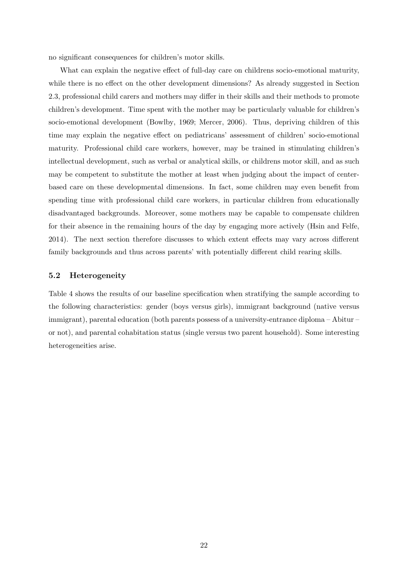no significant consequences for children's motor skills.

What can explain the negative effect of full-day care on childrens socio-emotional maturity, while there is no effect on the other development dimensions? As already suggested in Section 2.3, professional child carers and mothers may differ in their skills and their methods to promote children's development. Time spent with the mother may be particularly valuable for children's socio-emotional development (Bowlby, 1969; Mercer, 2006). Thus, depriving children of this time may explain the negative effect on pediatricans' assessment of children' socio-emotional maturity. Professional child care workers, however, may be trained in stimulating children's intellectual development, such as verbal or analytical skills, or childrens motor skill, and as such may be competent to substitute the mother at least when judging about the impact of centerbased care on these developmental dimensions. In fact, some children may even benefit from spending time with professional child care workers, in particular children from educationally disadvantaged backgrounds. Moreover, some mothers may be capable to compensate children for their absence in the remaining hours of the day by engaging more actively (Hsin and Felfe, 2014). The next section therefore discusses to which extent effects may vary across different family backgrounds and thus across parents' with potentially different child rearing skills.

#### 5.2 Heterogeneity

Table 4 shows the results of our baseline specification when stratifying the sample according to the following characteristics: gender (boys versus girls), immigrant background (native versus immigrant), parental education (both parents possess of a university-entrance diploma – Abitur – or not), and parental cohabitation status (single versus two parent household). Some interesting heterogeneities arise.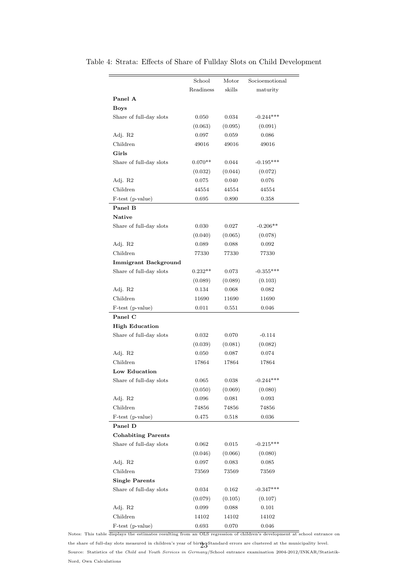|                             | School    | Motor   | Socioemotional |
|-----------------------------|-----------|---------|----------------|
|                             | Readiness | skills  | maturity       |
| Panel A                     |           |         |                |
| <b>Boys</b>                 |           |         |                |
| Share of full-day slots     | 0.050     | 0.034   | $-0.244***$    |
|                             | (0.063)   | (0.095) | (0.091)        |
| Adj. R2                     | 0.097     | 0.059   | 0.086          |
| Children                    | 49016     | 49016   | 49016          |
| Girls                       |           |         |                |
| Share of full-day slots     | $0.070**$ | 0.044   | $-0.195***$    |
|                             | (0.032)   | (0.044) | (0.072)        |
| Adj. R2                     | 0.075     | 0.040   | 0.076          |
| Children                    | 44554     | 44554   | 44554          |
| F-test (p-value)            | 0.695     | 0.890   | 0.358          |
| Panel B                     |           |         |                |
| <b>Native</b>               |           |         |                |
| Share of full-day slots     | 0.030     | 0.027   | $-0.206**$     |
|                             | (0.040)   | (0.065) | (0.078)        |
| Adj. R2                     | 0.089     | 0.088   | 0.092          |
| Children                    | 77330     | 77330   | 77330          |
| <b>Immigrant Background</b> |           |         |                |
| Share of full-day slots     | $0.232**$ | 0.073   | $-0.355***$    |
|                             | (0.089)   | (0.089) | (0.103)        |
| Adj. R2                     | 0.134     | 0.068   | 0.082          |
| Children                    | 11690     | 11690   | 11690          |
| F-test (p-value)            | 0.011     | 0.551   | 0.046          |
| Panel C                     |           |         |                |
| <b>High Education</b>       |           |         |                |
| Share of full-day slots     | 0.032     | 0.070   | $-0.114$       |
|                             | (0.039)   | (0.081) | (0.082)        |
| Adj. R2                     | 0.050     | 0.087   | 0.074          |
| Children                    | 17864     | 17864   | 17864          |
| Low Education               |           |         |                |
| Share of full-day slots     | 0.065     | 0.038   | $-0.244***$    |
|                             | (0.050)   | (0.069) | (0.080)        |
| Adj. R2                     | 0.096     | 0.081   | 0.093          |
| Children                    | 74856     | 74856   | 74856          |
| F-test (p-value)            | 0.475     | 0.518   | 0.036          |
| Panel D                     |           |         |                |
| <b>Cohabiting Parents</b>   |           |         |                |
| Share of full-day slots     | 0.062     | 0.015   | $-0.215***$    |
|                             | (0.046)   | (0.066) | (0.080)        |
| Adj. R2                     | 0.097     | 0.083   | 0.085          |
| Children                    | 73569     | 73569   | 73569          |
| <b>Single Parents</b>       |           |         |                |
| Share of full-day slots     | 0.034     | 0.162   | $-0.347***$    |
|                             | (0.079)   | (0.105) | (0.107)        |
| Adj. R2                     | 0.099     | 0.088   | 0.101          |
| Children                    | 14102     | 14102   | 14102          |
| F-test (p-value)            | 0.693     | 0.070   | 0.046          |

Table 4: Strata: Effects of Share of Fullday Slots on Child Development

Notes: This table displays the estimates resulting from an OLS regression of children's development at school entrance on the share of full-day slots measured in children's year of birth. Standard errors are clustered at the municipality level. Source: Statistics of the Child and Youth Services in Germany/School entrance examination 2004-2012/INKAR/Statistik-Nord, Own Calculations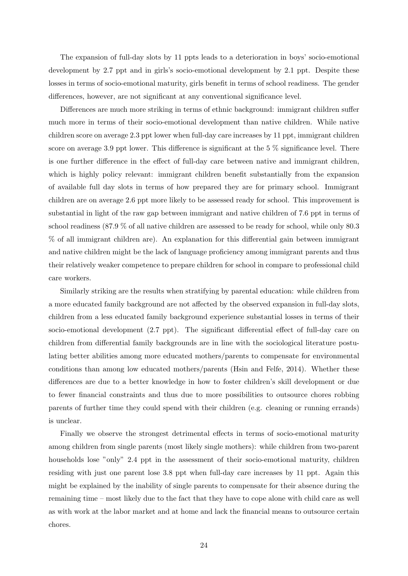The expansion of full-day slots by 11 ppts leads to a deterioration in boys' socio-emotional development by 2.7 ppt and in girls's socio-emotional development by 2.1 ppt. Despite these losses in terms of socio-emotional maturity, girls benefit in terms of school readiness. The gender differences, however, are not significant at any conventional significance level.

Differences are much more striking in terms of ethnic background: immigrant children suffer much more in terms of their socio-emotional development than native children. While native children score on average 2.3 ppt lower when full-day care increases by 11 ppt, immigrant children score on average 3.9 ppt lower. This difference is significant at the  $5\%$  significance level. There is one further difference in the effect of full-day care between native and immigrant children, which is highly policy relevant: immigrant children benefit substantially from the expansion of available full day slots in terms of how prepared they are for primary school. Immigrant children are on average 2.6 ppt more likely to be assessed ready for school. This improvement is substantial in light of the raw gap between immigrant and native children of 7.6 ppt in terms of school readiness (87.9 % of all native children are assessed to be ready for school, while only 80.3 % of all immigrant children are). An explanation for this differential gain between immigrant and native children might be the lack of language proficiency among immigrant parents and thus their relatively weaker competence to prepare children for school in compare to professional child care workers.

Similarly striking are the results when stratifying by parental education: while children from a more educated family background are not affected by the observed expansion in full-day slots, children from a less educated family background experience substantial losses in terms of their socio-emotional development (2.7 ppt). The significant differential effect of full-day care on children from differential family backgrounds are in line with the sociological literature postulating better abilities among more educated mothers/parents to compensate for environmental conditions than among low educated mothers/parents (Hsin and Felfe, 2014). Whether these differences are due to a better knowledge in how to foster children's skill development or due to fewer financial constraints and thus due to more possibilities to outsource chores robbing parents of further time they could spend with their children (e.g. cleaning or running errands) is unclear.

Finally we observe the strongest detrimental effects in terms of socio-emotional maturity among children from single parents (most likely single mothers): while children from two-parent households lose "only" 2.4 ppt in the assessment of their socio-emotional maturity, children residing with just one parent lose 3.8 ppt when full-day care increases by 11 ppt. Again this might be explained by the inability of single parents to compensate for their absence during the remaining time – most likely due to the fact that they have to cope alone with child care as well as with work at the labor market and at home and lack the financial means to outsource certain chores.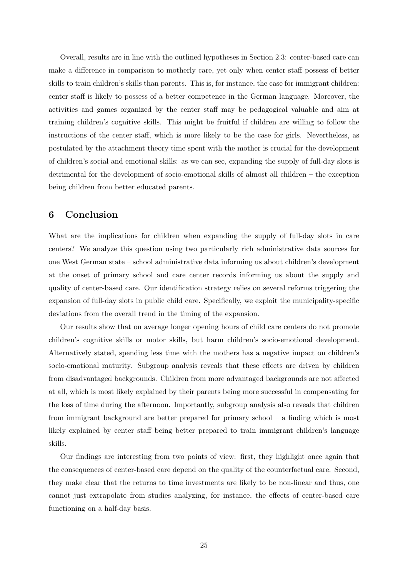Overall, results are in line with the outlined hypotheses in Section 2.3: center-based care can make a difference in comparison to motherly care, yet only when center staff possess of better skills to train children's skills than parents. This is, for instance, the case for immigrant children: center staff is likely to possess of a better competence in the German language. Moreover, the activities and games organized by the center staff may be pedagogical valuable and aim at training children's cognitive skills. This might be fruitful if children are willing to follow the instructions of the center staff, which is more likely to be the case for girls. Nevertheless, as postulated by the attachment theory time spent with the mother is crucial for the development of children's social and emotional skills: as we can see, expanding the supply of full-day slots is detrimental for the development of socio-emotional skills of almost all children – the exception being children from better educated parents.

## 6 Conclusion

What are the implications for children when expanding the supply of full-day slots in care centers? We analyze this question using two particularly rich administrative data sources for one West German state – school administrative data informing us about children's development at the onset of primary school and care center records informing us about the supply and quality of center-based care. Our identification strategy relies on several reforms triggering the expansion of full-day slots in public child care. Specifically, we exploit the municipality-specific deviations from the overall trend in the timing of the expansion.

Our results show that on average longer opening hours of child care centers do not promote children's cognitive skills or motor skills, but harm children's socio-emotional development. Alternatively stated, spending less time with the mothers has a negative impact on children's socio-emotional maturity. Subgroup analysis reveals that these effects are driven by children from disadvantaged backgrounds. Children from more advantaged backgrounds are not affected at all, which is most likely explained by their parents being more successful in compensating for the loss of time during the afternoon. Importantly, subgroup analysis also reveals that children from immigrant background are better prepared for primary school – a finding which is most likely explained by center staff being better prepared to train immigrant children's language skills.

Our findings are interesting from two points of view: first, they highlight once again that the consequences of center-based care depend on the quality of the counterfactual care. Second, they make clear that the returns to time investments are likely to be non-linear and thus, one cannot just extrapolate from studies analyzing, for instance, the effects of center-based care functioning on a half-day basis.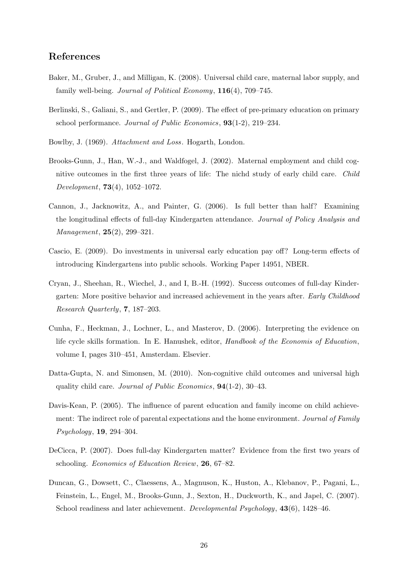## References

- Baker, M., Gruber, J., and Milligan, K. (2008). Universal child care, maternal labor supply, and family well-being. *Journal of Political Economy*, **116**(4), 709–745.
- Berlinski, S., Galiani, S., and Gertler, P. (2009). The effect of pre-primary education on primary school performance. Journal of Public Economics, 93(1-2), 219–234.
- Bowlby, J. (1969). *Attachment and Loss*. Hogarth, London.
- Brooks-Gunn, J., Han, W.-J., and Waldfogel, J. (2002). Maternal employment and child cognitive outcomes in the first three years of life: The nichd study of early child care. Child Development, 73(4), 1052–1072.
- Cannon, J., Jacknowitz, A., and Painter, G. (2006). Is full better than half? Examining the longitudinal effects of full-day Kindergarten attendance. Journal of Policy Analysis and Management, 25(2), 299–321.
- Cascio, E. (2009). Do investments in universal early education pay off? Long-term effects of introducing Kindergartens into public schools. Working Paper 14951, NBER.
- Cryan, J., Sheehan, R., Wiechel, J., and I, B.-H. (1992). Success outcomes of full-day Kindergarten: More positive behavior and increased achievement in the years after. Early Childhood Research Quarterly, 7, 187–203.
- Cunha, F., Heckman, J., Lochner, L., and Masterov, D. (2006). Interpreting the evidence on life cycle skills formation. In E. Hanushek, editor, Handbook of the Economis of Education, volume I, pages 310–451, Amsterdam. Elsevier.
- Datta-Gupta, N. and Simonsen, M. (2010). Non-cognitive child outcomes and universal high quality child care. Journal of Public Economics, 94(1-2), 30–43.
- Davis-Kean, P. (2005). The influence of parent education and family income on child achievement: The indirect role of parental expectations and the home environment. Journal of Family Psychology, 19, 294–304.
- DeCicca, P. (2007). Does full-day Kindergarten matter? Evidence from the first two years of schooling. Economics of Education Review, 26, 67–82.
- Duncan, G., Dowsett, C., Claessens, A., Magnuson, K., Huston, A., Klebanov, P., Pagani, L., Feinstein, L., Engel, M., Brooks-Gunn, J., Sexton, H., Duckworth, K., and Japel, C. (2007). School readiness and later achievement. Developmental Psychology, 43(6), 1428–46.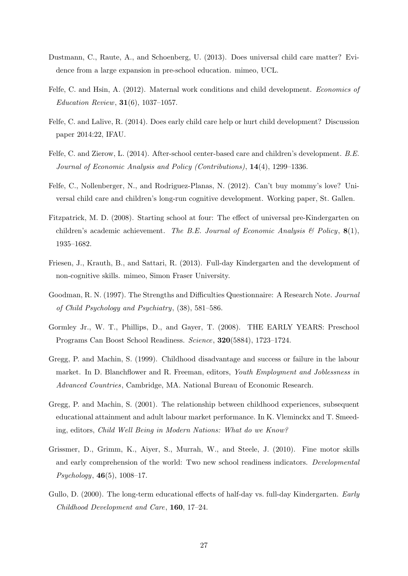- Dustmann, C., Raute, A., and Schoenberg, U. (2013). Does universal child care matter? Evidence from a large expansion in pre-school education. mimeo, UCL.
- Felfe, C. and Hsin, A. (2012). Maternal work conditions and child development. Economics of Education Review,  $31(6)$ , 1037-1057.
- Felfe, C. and Lalive, R. (2014). Does early child care help or hurt child development? Discussion paper 2014:22, IFAU.
- Felfe, C. and Zierow, L. (2014). After-school center-based care and children's development. B.E. Journal of Economic Analysis and Policy (Contributions), 14(4), 1299–1336.
- Felfe, C., Nollenberger, N., and Rodriguez-Planas, N. (2012). Can't buy mommy's love? Universal child care and children's long-run cognitive development. Working paper, St. Gallen.
- Fitzpatrick, M. D. (2008). Starting school at four: The effect of universal pre-Kindergarten on children's academic achievement. The B.E. Journal of Economic Analysis  $\mathcal{B}'$  Policy, 8(1), 1935–1682.
- Friesen, J., Krauth, B., and Sattari, R. (2013). Full-day Kindergarten and the development of non-cognitive skills. mimeo, Simon Fraser University.
- Goodman, R. N. (1997). The Strengths and Difficulties Questionnaire: A Research Note. Journal of Child Psychology and Psychiatry, (38), 581–586.
- Gormley Jr., W. T., Phillips, D., and Gayer, T. (2008). THE EARLY YEARS: Preschool Programs Can Boost School Readiness. Science, 320(5884), 1723–1724.
- Gregg, P. and Machin, S. (1999). Childhood disadvantage and success or failure in the labour market. In D. Blanchflower and R. Freeman, editors, Youth Employment and Joblessness in Advanced Countries, Cambridge, MA. National Bureau of Economic Research.
- Gregg, P. and Machin, S. (2001). The relationship between childhood experiences, subsequent educational attainment and adult labour market performance. In K. Vleminckx and T. Smeeding, editors, Child Well Being in Modern Nations: What do we Know?
- Grissmer, D., Grimm, K., Aiyer, S., Murrah, W., and Steele, J. (2010). Fine motor skills and early comprehension of the world: Two new school readiness indicators. Developmental  $Psychology, 46(5), 1008-17.$
- Gullo, D. (2000). The long-term educational effects of half-day vs. full-day Kindergarten. Early Childhood Development and Care, 160, 17–24.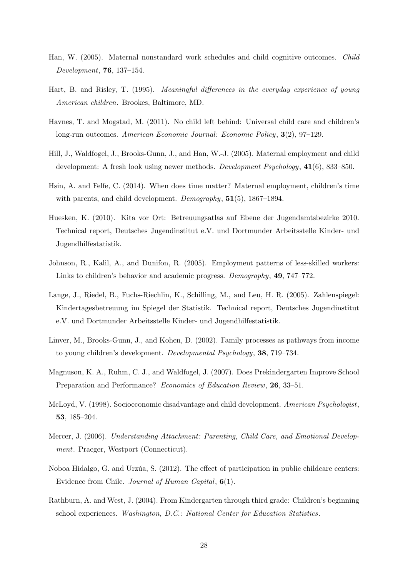- Han, W. (2005). Maternal nonstandard work schedules and child cognitive outcomes. Child Development, 76, 137–154.
- Hart, B. and Risley, T. (1995). Meaningful differences in the everyday experience of young American children. Brookes, Baltimore, MD.
- Havnes, T. and Mogstad, M. (2011). No child left behind: Universal child care and children's long-run outcomes. American Economic Journal: Economic Policy, 3(2), 97–129.
- Hill, J., Waldfogel, J., Brooks-Gunn, J., and Han, W.-J. (2005). Maternal employment and child development: A fresh look using newer methods. Development Psychology, 41(6), 833–850.
- Hsin, A. and Felfe, C. (2014). When does time matter? Maternal employment, children's time with parents, and child development. *Demography*, **51**(5), 1867–1894.
- Huesken, K. (2010). Kita vor Ort: Betreuungsatlas auf Ebene der Jugendamtsbezirke 2010. Technical report, Deutsches Jugendinstitut e.V. und Dortmunder Arbeitsstelle Kinder- und Jugendhilfestatistik.
- Johnson, R., Kalil, A., and Dunifon, R. (2005). Employment patterns of less-skilled workers: Links to children's behavior and academic progress. Demography, 49, 747–772.
- Lange, J., Riedel, B., Fuchs-Riechlin, K., Schilling, M., and Leu, H. R. (2005). Zahlenspiegel: Kindertagesbetreuung im Spiegel der Statistik. Technical report, Deutsches Jugendinstitut e.V. und Dortmunder Arbeitsstelle Kinder- und Jugendhilfestatistik.
- Linver, M., Brooks-Gunn, J., and Kohen, D. (2002). Family processes as pathways from income to young children's development. Developmental Psychology, 38, 719–734.
- Magnuson, K. A., Ruhm, C. J., and Waldfogel, J. (2007). Does Prekindergarten Improve School Preparation and Performance? Economics of Education Review, 26, 33-51.
- McLoyd, V. (1998). Socioeconomic disadvantage and child development. American Psychologist, 53, 185–204.
- Mercer, J. (2006). Understanding Attachment: Parenting, Child Care, and Emotional Development. Praeger, Westport (Connecticut).
- Noboa Hidalgo, G. and Urzúa, S. (2012). The effect of participation in public childcare centers: Evidence from Chile. Journal of Human Capital, 6(1).
- Rathburn, A. and West, J. (2004). From Kindergarten through third grade: Children's beginning school experiences. Washington, D.C.: National Center for Education Statistics.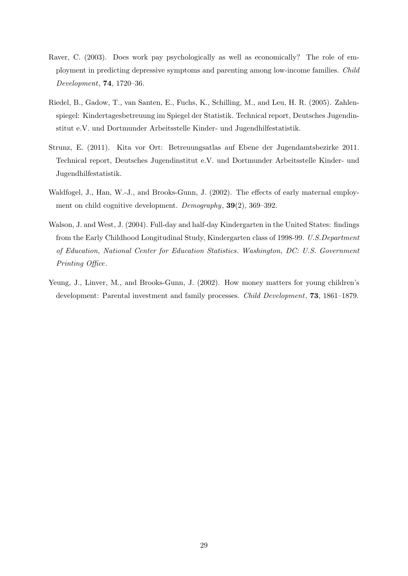- Raver, C. (2003). Does work pay psychologically as well as economically? The role of employment in predicting depressive symptoms and parenting among low-income families. Child Development, 74, 1720–36.
- Riedel, B., Gadow, T., van Santen, E., Fuchs, K., Schilling, M., and Leu, H. R. (2005). Zahlenspiegel: Kindertagesbetreuung im Spiegel der Statistik. Technical report, Deutsches Jugendinstitut e.V. und Dortmunder Arbeitsstelle Kinder- und Jugendhilfestatistik.
- Strunz, E. (2011). Kita vor Ort: Betreuungsatlas auf Ebene der Jugendamtsbezirke 2011. Technical report, Deutsches Jugendinstitut e.V. und Dortmunder Arbeitsstelle Kinder- und Jugendhilfestatistik.
- Waldfogel, J., Han, W.-J., and Brooks-Gunn, J. (2002). The effects of early maternal employment on child cognitive development. Demography, 39(2), 369–392.
- Walson, J. and West, J. (2004). Full-day and half-day Kindergarten in the United States: findings from the Early Childhood Longitudinal Study, Kindergarten class of 1998-99. U.S.Department of Education, National Center for Education Statistics. Washington, DC: U.S. Government Printing Office.
- Yeung, J., Linver, M., and Brooks-Gunn, J. (2002). How money matters for young children's development: Parental investment and family processes. Child Development, 73, 1861–1879.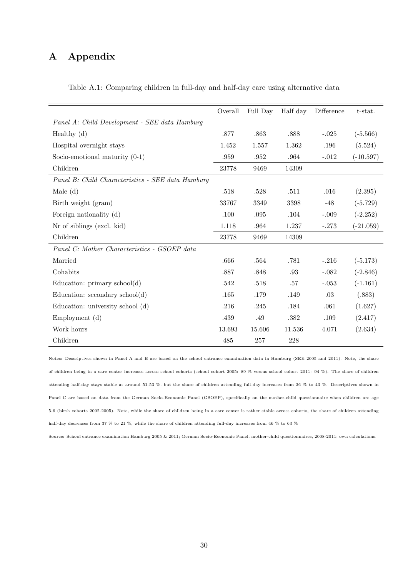## A Appendix

|                                                   | Overall | Full Day | Half day | Difference | t-stat.     |
|---------------------------------------------------|---------|----------|----------|------------|-------------|
| Panel A: Child Development - SEE data Hamburg     |         |          |          |            |             |
| Healthy $(d)$                                     | .877    | .863     | .888     | $-.025$    | $(-5.566)$  |
| Hospital overnight stays                          | 1.452   | 1.557    | 1.362    | .196       | (5.524)     |
| Socio-emotional maturity $(0-1)$                  | .959    | .952     | .964     | $-.012$    | $(-10.597)$ |
| Children                                          | 23778   | 9469     | 14309    |            |             |
| Panel B: Child Characteristics - SEE data Hamburg |         |          |          |            |             |
| Male $(d)$                                        | .518    | .528     | .511     | .016       | (2.395)     |
| Birth weight (gram)                               | 33767   | 3349     | 3398     | $-48$      | $(-5.729)$  |
| Foreign nationality (d)                           | .100    | $.095\,$ | .104     | $-.009$    | $(-2.252)$  |
| Nr of siblings (excl. kid)                        | 1.118   | .964     | 1.237    | $-.273$    | $(-21.059)$ |
| Children                                          | 23778   | 9469     | 14309    |            |             |
| Panel C: Mother Characteristics - GSOEP data      |         |          |          |            |             |
| Married                                           | .666    | .564     | .781     | $-.216$    | $(-5.173)$  |
| Cohabits                                          | .887    | .848     | .93      | $-.082$    | $(-2.846)$  |
| Education: primary school(d)                      | .542    | .518     | .57      | $-.053$    | $(-1.161)$  |
| Education: $secondary school(d)$                  | .165    | .179     | .149     | .03        | (.883)      |
| Education: university school (d)                  | .216    | .245     | .184     | .061       | (1.627)     |
| Employment(d)                                     | .439    | .49      | .382     | .109       | (2.417)     |
| Work hours                                        | 13.693  | 15.606   | 11.536   | 4.071      | (2.634)     |
| Children                                          | 485     | 257      | 228      |            |             |

Table A.1: Comparing children in full-day and half-day care using alternative data

Notes: Descriptives shown in Panel A and B are based on the school entrance examination data in Hamburg (SEE 2005 and 2011). Note, the share of children being in a care center increases across school cohorts (school cohort 2005: 89 % versus school cohort 2011: 94 %). The share of children attending half-day stays stable at around 51-53 %, but the share of children attending full-day increases from 36 % to 43 %. Descriptives shown in Panel C are based on data from the German Socio-Economic Panel (GSOEP), specifically on the mother-child questionnaire when children are age 5-6 (birth cohorts 2002-2005). Note, while the share of children being in a care center is rather stable across cohorts, the share of children attending half-day decreases from 37 % to 21 %, while the share of children attending full-day increases from 46 % to 63 %

Source: School entrance examination Hamburg 2005 & 2011; German Socio-Economic Panel, mother-child questionnaires, 2008-2011; own calculations.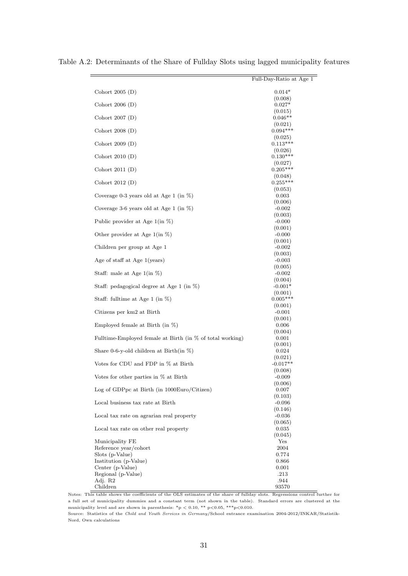| Cohort $2005(D)$<br>$0.014*$<br>(0.008)<br>Cohort $2006(D)$<br>$0.027*$<br>(0.015)<br>Cohort $2007(D)$<br>$0.046**$<br>(0.021)<br>$0.094***$<br>Cohort $2008(D)$<br>(0.025)<br>$0.113***$<br>Cohort $2009(D)$<br>(0.026)<br>Cohort $2010(D)$<br>$0.130***$<br>(0.027)<br>$0.205***$<br>Cohort $2011(D)$<br>(0.048)<br>Cohort $2012(D)$<br>$0.255***$<br>(0.053)<br>Coverage 0-3 years old at Age 1 (in $\%$ )<br>0.003<br>(0.006)<br>Coverage 3-6 years old at Age 1 (in $\%$ )<br>$-0.002$<br>(0.003)<br>Public provider at Age $1$ (in $\%$ )<br>$-0.000$<br>(0.001)<br>Other provider at Age $1$ (in $\%$ )<br>$-0.000$<br>(0.001)<br>Children per group at Age 1<br>$-0.002$<br>(0.003)<br>Age of staff at Age $1$ (years)<br>$-0.003$<br>(0.005)<br>Staff: male at Age $1$ (in $\%$ )<br>$-0.002$<br>(0.004)<br>Staff: pedagogical degree at Age 1 (in $\%$ )<br>$-0.001*$<br>(0.001)<br>$0.005***$<br>Staff: fulltime at Age 1 (in $\%$ )<br>(0.001)<br>Citizens per km2 at Birth<br>$-0.001$<br>(0.001)<br>Employed female at Birth (in $\%$ )<br>0.006<br>(0.004)<br>Fulltime-Employed female at Birth (in % of total working)<br>0.001<br>(0.001)<br>Share 0-6-y-old children at Birth(in $\%$ )<br>0.024<br>(0.021)<br>Votes for CDU and FDP in % at Birth<br>$-0.017**$<br>(0.008)<br>Votes for other parties in % at Birth<br>$-0.009$<br>(0.006)<br>Log of GDPpc at Birth (in 1000Euro/Citizen)<br>0.007<br>(0.103)<br>Local business tax rate at Birth<br>$-0.096$ |
|----------------------------------------------------------------------------------------------------------------------------------------------------------------------------------------------------------------------------------------------------------------------------------------------------------------------------------------------------------------------------------------------------------------------------------------------------------------------------------------------------------------------------------------------------------------------------------------------------------------------------------------------------------------------------------------------------------------------------------------------------------------------------------------------------------------------------------------------------------------------------------------------------------------------------------------------------------------------------------------------------------------------------------------------------------------------------------------------------------------------------------------------------------------------------------------------------------------------------------------------------------------------------------------------------------------------------------------------------------------------------------------------------------------------------------------------------------------------------------|
|                                                                                                                                                                                                                                                                                                                                                                                                                                                                                                                                                                                                                                                                                                                                                                                                                                                                                                                                                                                                                                                                                                                                                                                                                                                                                                                                                                                                                                                                                  |
|                                                                                                                                                                                                                                                                                                                                                                                                                                                                                                                                                                                                                                                                                                                                                                                                                                                                                                                                                                                                                                                                                                                                                                                                                                                                                                                                                                                                                                                                                  |
|                                                                                                                                                                                                                                                                                                                                                                                                                                                                                                                                                                                                                                                                                                                                                                                                                                                                                                                                                                                                                                                                                                                                                                                                                                                                                                                                                                                                                                                                                  |
|                                                                                                                                                                                                                                                                                                                                                                                                                                                                                                                                                                                                                                                                                                                                                                                                                                                                                                                                                                                                                                                                                                                                                                                                                                                                                                                                                                                                                                                                                  |
|                                                                                                                                                                                                                                                                                                                                                                                                                                                                                                                                                                                                                                                                                                                                                                                                                                                                                                                                                                                                                                                                                                                                                                                                                                                                                                                                                                                                                                                                                  |
|                                                                                                                                                                                                                                                                                                                                                                                                                                                                                                                                                                                                                                                                                                                                                                                                                                                                                                                                                                                                                                                                                                                                                                                                                                                                                                                                                                                                                                                                                  |
|                                                                                                                                                                                                                                                                                                                                                                                                                                                                                                                                                                                                                                                                                                                                                                                                                                                                                                                                                                                                                                                                                                                                                                                                                                                                                                                                                                                                                                                                                  |
|                                                                                                                                                                                                                                                                                                                                                                                                                                                                                                                                                                                                                                                                                                                                                                                                                                                                                                                                                                                                                                                                                                                                                                                                                                                                                                                                                                                                                                                                                  |
|                                                                                                                                                                                                                                                                                                                                                                                                                                                                                                                                                                                                                                                                                                                                                                                                                                                                                                                                                                                                                                                                                                                                                                                                                                                                                                                                                                                                                                                                                  |
|                                                                                                                                                                                                                                                                                                                                                                                                                                                                                                                                                                                                                                                                                                                                                                                                                                                                                                                                                                                                                                                                                                                                                                                                                                                                                                                                                                                                                                                                                  |
|                                                                                                                                                                                                                                                                                                                                                                                                                                                                                                                                                                                                                                                                                                                                                                                                                                                                                                                                                                                                                                                                                                                                                                                                                                                                                                                                                                                                                                                                                  |
|                                                                                                                                                                                                                                                                                                                                                                                                                                                                                                                                                                                                                                                                                                                                                                                                                                                                                                                                                                                                                                                                                                                                                                                                                                                                                                                                                                                                                                                                                  |
|                                                                                                                                                                                                                                                                                                                                                                                                                                                                                                                                                                                                                                                                                                                                                                                                                                                                                                                                                                                                                                                                                                                                                                                                                                                                                                                                                                                                                                                                                  |
|                                                                                                                                                                                                                                                                                                                                                                                                                                                                                                                                                                                                                                                                                                                                                                                                                                                                                                                                                                                                                                                                                                                                                                                                                                                                                                                                                                                                                                                                                  |
|                                                                                                                                                                                                                                                                                                                                                                                                                                                                                                                                                                                                                                                                                                                                                                                                                                                                                                                                                                                                                                                                                                                                                                                                                                                                                                                                                                                                                                                                                  |
|                                                                                                                                                                                                                                                                                                                                                                                                                                                                                                                                                                                                                                                                                                                                                                                                                                                                                                                                                                                                                                                                                                                                                                                                                                                                                                                                                                                                                                                                                  |
|                                                                                                                                                                                                                                                                                                                                                                                                                                                                                                                                                                                                                                                                                                                                                                                                                                                                                                                                                                                                                                                                                                                                                                                                                                                                                                                                                                                                                                                                                  |
|                                                                                                                                                                                                                                                                                                                                                                                                                                                                                                                                                                                                                                                                                                                                                                                                                                                                                                                                                                                                                                                                                                                                                                                                                                                                                                                                                                                                                                                                                  |
|                                                                                                                                                                                                                                                                                                                                                                                                                                                                                                                                                                                                                                                                                                                                                                                                                                                                                                                                                                                                                                                                                                                                                                                                                                                                                                                                                                                                                                                                                  |
|                                                                                                                                                                                                                                                                                                                                                                                                                                                                                                                                                                                                                                                                                                                                                                                                                                                                                                                                                                                                                                                                                                                                                                                                                                                                                                                                                                                                                                                                                  |
|                                                                                                                                                                                                                                                                                                                                                                                                                                                                                                                                                                                                                                                                                                                                                                                                                                                                                                                                                                                                                                                                                                                                                                                                                                                                                                                                                                                                                                                                                  |
|                                                                                                                                                                                                                                                                                                                                                                                                                                                                                                                                                                                                                                                                                                                                                                                                                                                                                                                                                                                                                                                                                                                                                                                                                                                                                                                                                                                                                                                                                  |
|                                                                                                                                                                                                                                                                                                                                                                                                                                                                                                                                                                                                                                                                                                                                                                                                                                                                                                                                                                                                                                                                                                                                                                                                                                                                                                                                                                                                                                                                                  |
|                                                                                                                                                                                                                                                                                                                                                                                                                                                                                                                                                                                                                                                                                                                                                                                                                                                                                                                                                                                                                                                                                                                                                                                                                                                                                                                                                                                                                                                                                  |
|                                                                                                                                                                                                                                                                                                                                                                                                                                                                                                                                                                                                                                                                                                                                                                                                                                                                                                                                                                                                                                                                                                                                                                                                                                                                                                                                                                                                                                                                                  |
|                                                                                                                                                                                                                                                                                                                                                                                                                                                                                                                                                                                                                                                                                                                                                                                                                                                                                                                                                                                                                                                                                                                                                                                                                                                                                                                                                                                                                                                                                  |
|                                                                                                                                                                                                                                                                                                                                                                                                                                                                                                                                                                                                                                                                                                                                                                                                                                                                                                                                                                                                                                                                                                                                                                                                                                                                                                                                                                                                                                                                                  |
|                                                                                                                                                                                                                                                                                                                                                                                                                                                                                                                                                                                                                                                                                                                                                                                                                                                                                                                                                                                                                                                                                                                                                                                                                                                                                                                                                                                                                                                                                  |
|                                                                                                                                                                                                                                                                                                                                                                                                                                                                                                                                                                                                                                                                                                                                                                                                                                                                                                                                                                                                                                                                                                                                                                                                                                                                                                                                                                                                                                                                                  |
|                                                                                                                                                                                                                                                                                                                                                                                                                                                                                                                                                                                                                                                                                                                                                                                                                                                                                                                                                                                                                                                                                                                                                                                                                                                                                                                                                                                                                                                                                  |
|                                                                                                                                                                                                                                                                                                                                                                                                                                                                                                                                                                                                                                                                                                                                                                                                                                                                                                                                                                                                                                                                                                                                                                                                                                                                                                                                                                                                                                                                                  |
|                                                                                                                                                                                                                                                                                                                                                                                                                                                                                                                                                                                                                                                                                                                                                                                                                                                                                                                                                                                                                                                                                                                                                                                                                                                                                                                                                                                                                                                                                  |
|                                                                                                                                                                                                                                                                                                                                                                                                                                                                                                                                                                                                                                                                                                                                                                                                                                                                                                                                                                                                                                                                                                                                                                                                                                                                                                                                                                                                                                                                                  |
|                                                                                                                                                                                                                                                                                                                                                                                                                                                                                                                                                                                                                                                                                                                                                                                                                                                                                                                                                                                                                                                                                                                                                                                                                                                                                                                                                                                                                                                                                  |
|                                                                                                                                                                                                                                                                                                                                                                                                                                                                                                                                                                                                                                                                                                                                                                                                                                                                                                                                                                                                                                                                                                                                                                                                                                                                                                                                                                                                                                                                                  |
|                                                                                                                                                                                                                                                                                                                                                                                                                                                                                                                                                                                                                                                                                                                                                                                                                                                                                                                                                                                                                                                                                                                                                                                                                                                                                                                                                                                                                                                                                  |
|                                                                                                                                                                                                                                                                                                                                                                                                                                                                                                                                                                                                                                                                                                                                                                                                                                                                                                                                                                                                                                                                                                                                                                                                                                                                                                                                                                                                                                                                                  |
| (0.146)                                                                                                                                                                                                                                                                                                                                                                                                                                                                                                                                                                                                                                                                                                                                                                                                                                                                                                                                                                                                                                                                                                                                                                                                                                                                                                                                                                                                                                                                          |
| $-0.036$<br>Local tax rate on agrarian real property                                                                                                                                                                                                                                                                                                                                                                                                                                                                                                                                                                                                                                                                                                                                                                                                                                                                                                                                                                                                                                                                                                                                                                                                                                                                                                                                                                                                                             |
| (0.065)                                                                                                                                                                                                                                                                                                                                                                                                                                                                                                                                                                                                                                                                                                                                                                                                                                                                                                                                                                                                                                                                                                                                                                                                                                                                                                                                                                                                                                                                          |
| Local tax rate on other real property<br>0.035<br>(0.045)                                                                                                                                                                                                                                                                                                                                                                                                                                                                                                                                                                                                                                                                                                                                                                                                                                                                                                                                                                                                                                                                                                                                                                                                                                                                                                                                                                                                                        |
| Yes<br>Municipality FE                                                                                                                                                                                                                                                                                                                                                                                                                                                                                                                                                                                                                                                                                                                                                                                                                                                                                                                                                                                                                                                                                                                                                                                                                                                                                                                                                                                                                                                           |
| Reference year/cohort<br>2004                                                                                                                                                                                                                                                                                                                                                                                                                                                                                                                                                                                                                                                                                                                                                                                                                                                                                                                                                                                                                                                                                                                                                                                                                                                                                                                                                                                                                                                    |
| Slots (p-Value)<br>0.774<br>Institution (p-Value)<br>0.866                                                                                                                                                                                                                                                                                                                                                                                                                                                                                                                                                                                                                                                                                                                                                                                                                                                                                                                                                                                                                                                                                                                                                                                                                                                                                                                                                                                                                       |
| Center (p-Value)<br>0.001                                                                                                                                                                                                                                                                                                                                                                                                                                                                                                                                                                                                                                                                                                                                                                                                                                                                                                                                                                                                                                                                                                                                                                                                                                                                                                                                                                                                                                                        |
| Regional (p-Value)<br>.213                                                                                                                                                                                                                                                                                                                                                                                                                                                                                                                                                                                                                                                                                                                                                                                                                                                                                                                                                                                                                                                                                                                                                                                                                                                                                                                                                                                                                                                       |
| Adj. R2<br>.944<br>Children<br>93570                                                                                                                                                                                                                                                                                                                                                                                                                                                                                                                                                                                                                                                                                                                                                                                                                                                                                                                                                                                                                                                                                                                                                                                                                                                                                                                                                                                                                                             |

Table A.2: Determinants of the Share of Fullday Slots using lagged municipality features

Notes: This table shows the coefficients of the OLS estimates of the share of fullday slots. Regressions control further for a full set of municipality dummies and a constant term (not shown in the table). Standard errors are clustered at the municipality level and are shown in parenthesis: \*p < 0.10, \*\* p<0.05, \*\*\*p<0.010.

Source: Statistics of the Child and Youth Services in Germany/School entrance examination 2004-2012/INKAR/Statistik-Nord, Own calculations